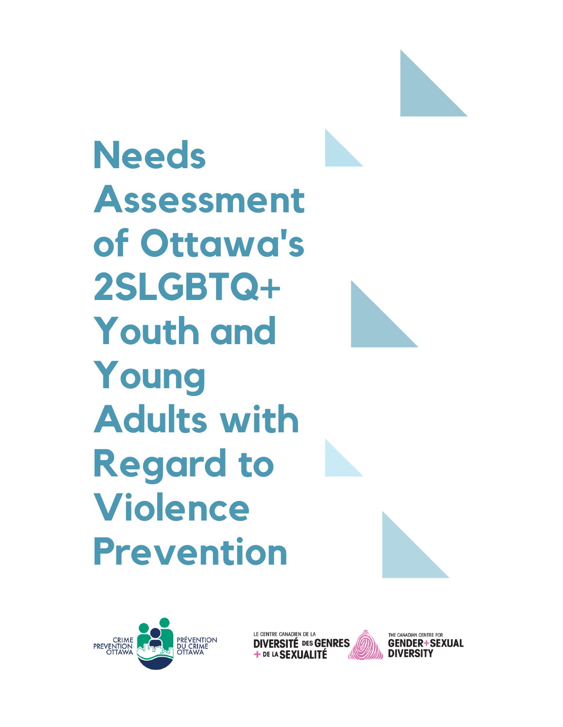**Needs Assessment of Ottawa's 2SLGBTQ+ Youth and Young Adults with Regard to Violence Prevention**







THE CANADIAN CENTRE FOR DIVERSITY

**GENDER+SEXUAL**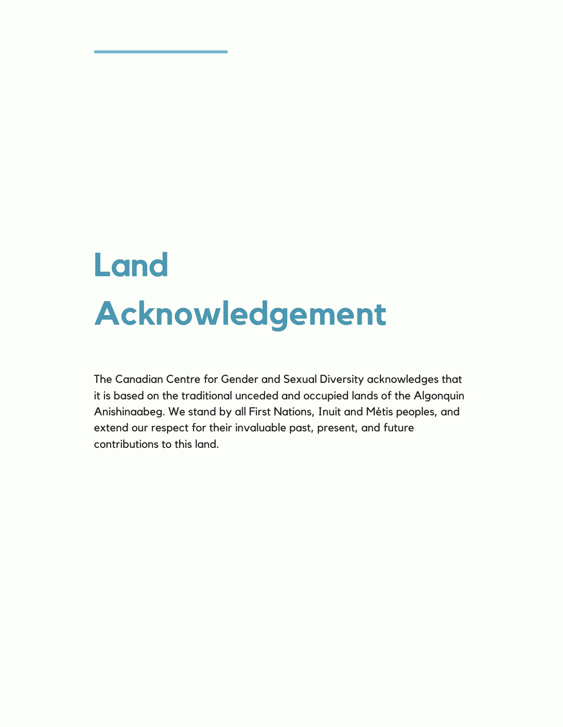# **Land Acknowledgement**

The Canadian Centre for Gender and Sexual Diversity acknowledges that it is based on the traditional unceded and occupied lands of the Algonquin Anishinaabeg. We stand by all First Nations, Inuit and Métis peoples, and extend our respect for their invaluable past, present, and future contributions to this land.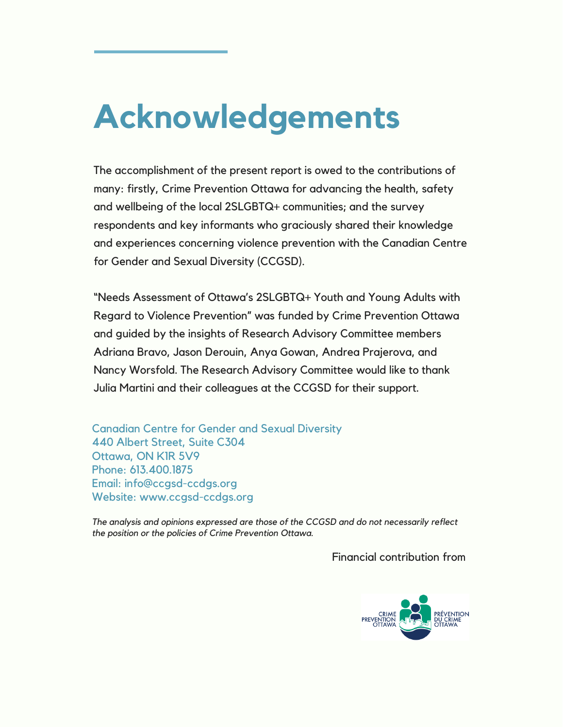# **Acknowledgements**

The accomplishment of the present report is owed to the contributions of many: firstly, Crime Prevention Ottawa for advancing the health, safety and wellbeing of the local 2SLGBTQ+ communities; and the survey respondents and key informants who graciously shared their knowledge and experiences concerning violence prevention with the Canadian Centre for Gender and Sexual Diversity (CCGSD).

"Needs Assessment of Ottawa's 2SLGBTQ+ Youth and Young Adults with Regard to Violence Prevention" was funded by Crime Prevention Ottawa and guided by the insights of Research Advisory Committee members Adriana Bravo, Jason Derouin, Anya Gowan, Andrea Prajerova, and Nancy Worsfold. The Research Advisory Committee would like to thank Julia Martini and their colleagues at the CCGSD for their support.

Canadian Centre for Gender and Sexual Diversity 440 Albert Street, Suite C304 Ottawa, ON K1R 5V9 Phone: 613.400.1875 Email: info@ccgsd-ccdgs.org Website: www.ccgsd-ccdgs.org

*The analysis and opinions expressed are those of the CCGSD and do not necessarily reflect the position or the policies of Crime Prevention Ottawa.*

Financial contribution from

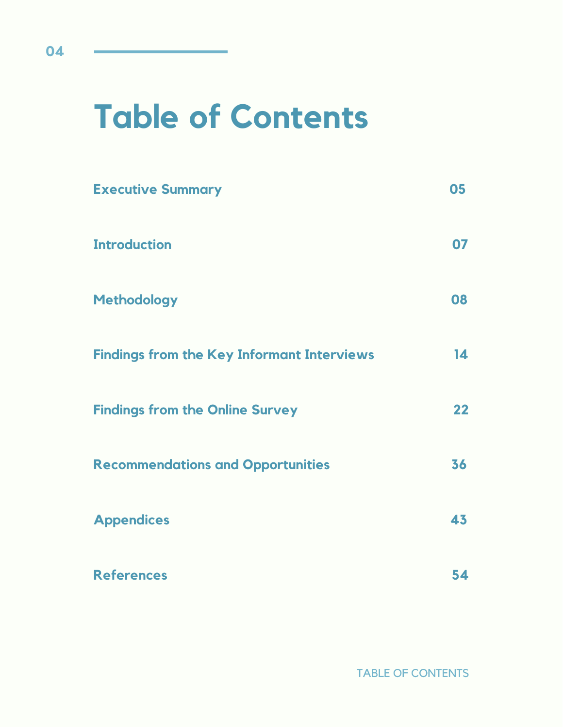# **Table of Contents**

| <b>Executive Summary</b>                          | 05              |
|---------------------------------------------------|-----------------|
| <b>Introduction</b>                               | 07              |
| <b>Methodology</b>                                | 80              |
| <b>Findings from the Key Informant Interviews</b> | $\overline{14}$ |
| <b>Findings from the Online Survey</b>            | 22              |
| <b>Recommendations and Opportunities</b>          | 36              |
| <b>Appendices</b>                                 | 43              |
| <b>References</b>                                 | 54              |

TABLE OF CONTENTS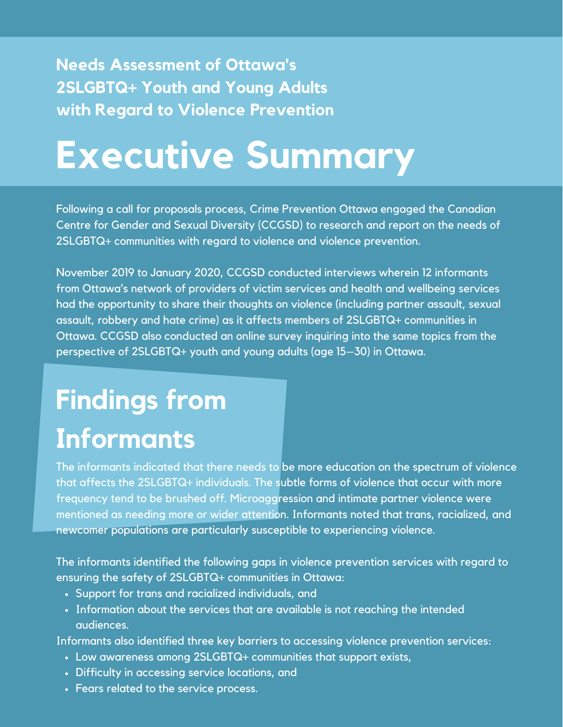# **Needs Assessment of Ottawa's 2SLGBTQ+ Youth and Young Adults with Regard to Violence Prevention**

# **Executive Summary**

Following a call for proposals process, Crime Prevention Ottawa engaged the Canadian Centre for Gender and Sexual Diversity (CCGSD) to research and report on the needs of 2SLGBTQ+ communities with regard to violence and violence prevention.

November 2019 to January 2020, CCGSD conducted interviews wherein 12 informants from Ottawa's network of providers of victim services and health and wellbeing services had the opportunity to share their thoughts on violence (including partner assault, sexual assault, robbery and hate crime) as it affects members of 2SLGBTQ+ communities in Ottawa. CCGSD also conducted an online survey inquiring into the same topics from the perspective of 2SLGBTQ+ youth and young adults (age 15–30) in Ottawa.

# **Findings from Informants**

The informants indicated that there needs to be more education on the spectrum of violence that affects the 2SLGBTQ+ individuals. The subtle forms of violence that occur with more frequency tend to be brushed off. Microaggression and intimate partner violence were mentioned as needing more or wider attention. Informants noted that trans, racialized, and newcomer populations are particularly susceptible to experiencing violence.

The informants identified the following gaps in violence prevention services with regard to ensuring the safety of 2SLGBTQ+ communities in Ottawa:

- Support for trans and racialized individuals, and
- Information about the services that are available is not reaching the intended audiences.

Informants also identified three key barriers to accessing violence prevention services:

- Low awareness among 2SLGBTQ+ communities that support exists,
- Difficulty in accessing service locations, and
- Fears related to the service process.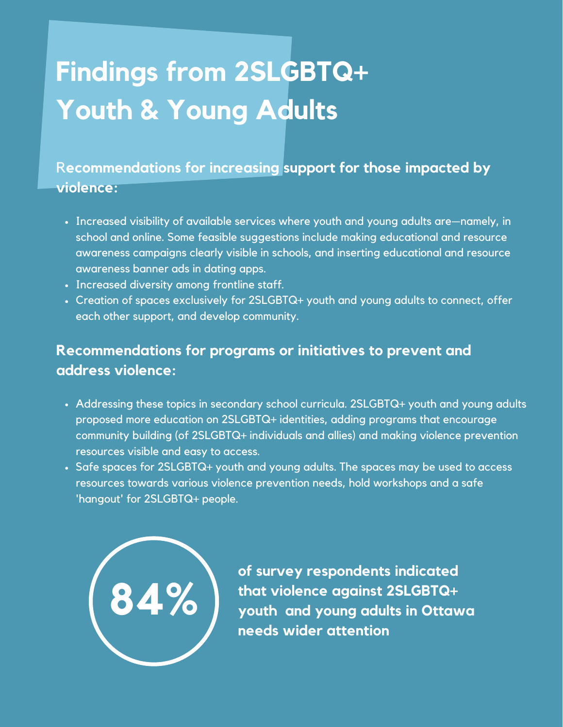# **Findings from 2SLGBTQ+ Youth & Young Adults**

R**ecommendations for increasing support for those impacted by violence:**

- Increased visibility of available services where youth and young adults are—namely, in school and online. Some feasible suggestions include making educational and resource awareness campaigns clearly visible in schools, and inserting educational and resource awareness banner ads in dating apps.
- Increased diversity among frontline staff.
- Creation of spaces exclusively for 2SLGBTQ+ youth and young adults to connect, offer each other support, and develop community.

# **Recommendations for programs or initiatives to prevent and address violence:**

- Addressing these topics in secondary school curricula. 2SLGBTQ+ youth and young adults proposed more education on 2SLGBTQ+ identities, adding programs that encourage community building (of 2SLGBTQ+ individuals and allies) and making violence prevention resources visible and easy to access.
- Safe spaces for 2SLGBTQ+ youth and young adults. The spaces may be used to access resources towards various violence prevention needs, hold workshops and a safe 'hangout' for 2SLGBTQ+ people.



**of survey respondents indicated that violence against 2SLGBTQ+ youth and young adults in Ottawa needs wider attention**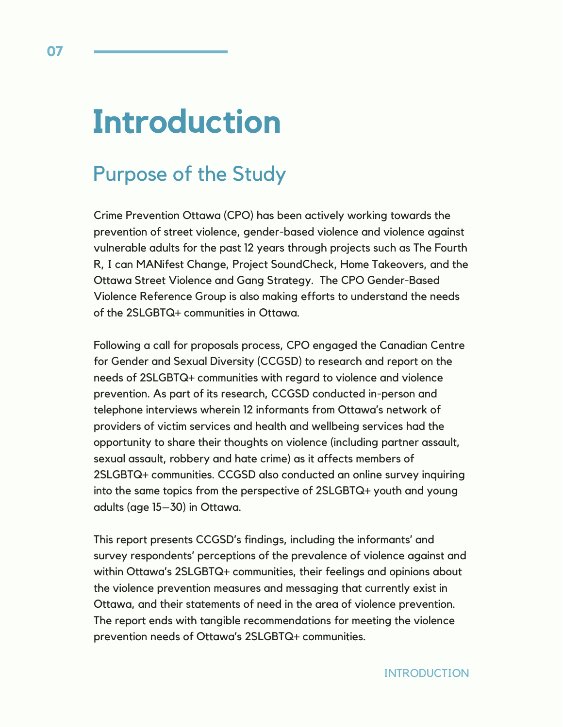# **Introduction**

# Purpose of the Study

Crime Prevention Ottawa (CPO) has been actively working towards the prevention of street violence, gender-based violence and violence against vulnerable adults for the past 12 years through projects such as The Fourth R, I can MANifest Change, Project SoundCheck, Home Takeovers, and the Ottawa Street Violence and Gang Strategy. The CPO Gender-Based Violence Reference Group is also making efforts to understand the needs of the 2SLGBTQ+ communities in Ottawa.

Following a call for proposals process, CPO engaged the Canadian Centre for Gender and Sexual Diversity (CCGSD) to research and report on the needs of 2SLGBTQ+ communities with regard to violence and violence prevention. As part of its research, CCGSD conducted in-person and telephone interviews wherein 12 informants from Ottawa's network of providers of victim services and health and wellbeing services had the opportunity to share their thoughts on violence (including partner assault, sexual assault, robbery and hate crime) as it affects members of 2SLGBTQ+ communities. CCGSD also conducted an online survey inquiring into the same topics from the perspective of 2SLGBTQ+ youth and young adults (age 15–30) in Ottawa.

This report presents CCGSD's findings, including the informants' and survey respondents' perceptions of the prevalence of violence against and within Ottawa's 2SLGBTQ+ communities, their feelings and opinions about the violence prevention measures and messaging that currently exist in Ottawa, and their statements of need in the area of violence prevention. The report ends with tangible recommendations for meeting the violence prevention needs of Ottawa's 2SLGBTQ+ communities.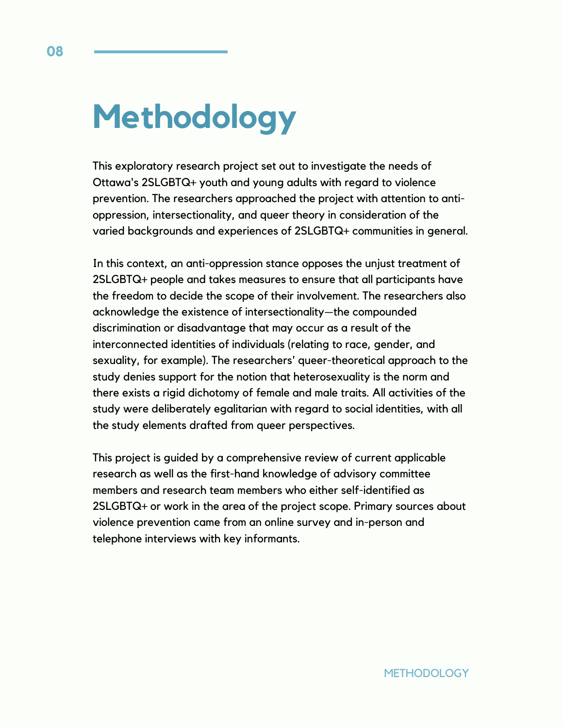# **Methodology**

This exploratory research project set out to investigate the needs of Ottawa's 2SLGBTQ+ youth and young adults with regard to violence prevention. The researchers approached the project with attention to antioppression, intersectionality, and queer theory in consideration of the varied backgrounds and experiences of 2SLGBTQ+ communities in general.

In this context, an anti-oppression stance opposes the unjust treatment of 2SLGBTQ+ people and takes measures to ensure that all participants have the freedom to decide the scope of their involvement. The researchers also acknowledge the existence of intersectionality—the compounded discrimination or disadvantage that may occur as a result of the interconnected identities of individuals (relating to race, gender, and sexuality, for example). The researchers' queer-theoretical approach to the study denies support for the notion that heterosexuality is the norm and there exists a rigid dichotomy of female and male traits. All activities of the study were deliberately egalitarian with regard to social identities, with all the study elements drafted from queer perspectives.

This project is guided by a comprehensive review of current applicable research as well as the first-hand knowledge of advisory committee members and research team members who either self-identified as 2SLGBTQ+ or work in the area of the project scope. Primary sources about violence prevention came from an online survey and in-person and telephone interviews with key informants.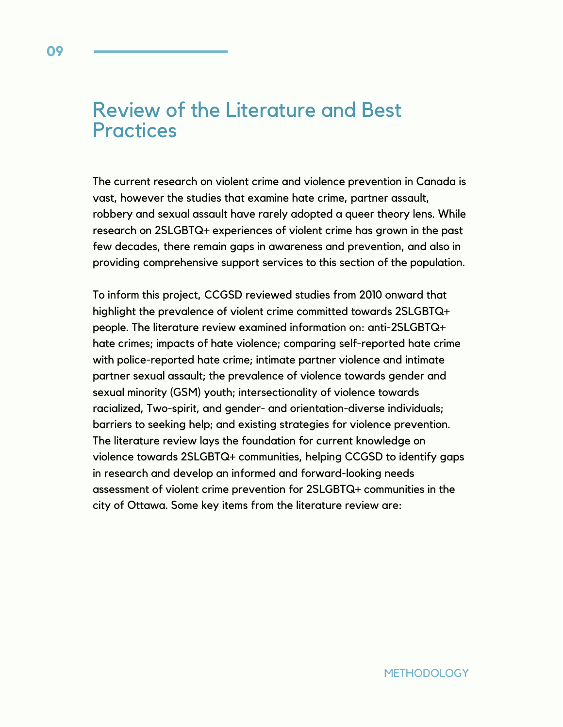# Review of the Literature and Best **Practices**

The current research on violent crime and violence prevention in Canada is vast, however the studies that examine hate crime, partner assault, robbery and sexual assault have rarely adopted a queer theory lens. While research on 2SLGBTQ+ experiences of violent crime has grown in the past few decades, there remain gaps in awareness and prevention, and also in providing comprehensive support services to this section of the population.

To inform this project, CCGSD reviewed studies from 2010 onward that highlight the prevalence of violent crime committed towards 2SLGBTQ+ people. The literature review examined information on: anti-2SLGBTQ+ hate crimes; impacts of hate violence; comparing self-reported hate crime with police-reported hate crime; intimate partner violence and intimate partner sexual assault; the prevalence of violence towards gender and sexual minority (GSM) youth; intersectionality of violence towards racialized, Two-spirit, and gender- and orientation-diverse individuals; barriers to seeking help; and existing strategies for violence prevention. The literature review lays the foundation for current knowledge on violence towards 2SLGBTQ+ communities, helping CCGSD to identify gaps in research and develop an informed and forward-looking needs assessment of violent crime prevention for 2SLGBTQ+ communities in the city of Ottawa. Some key items from the literature review are: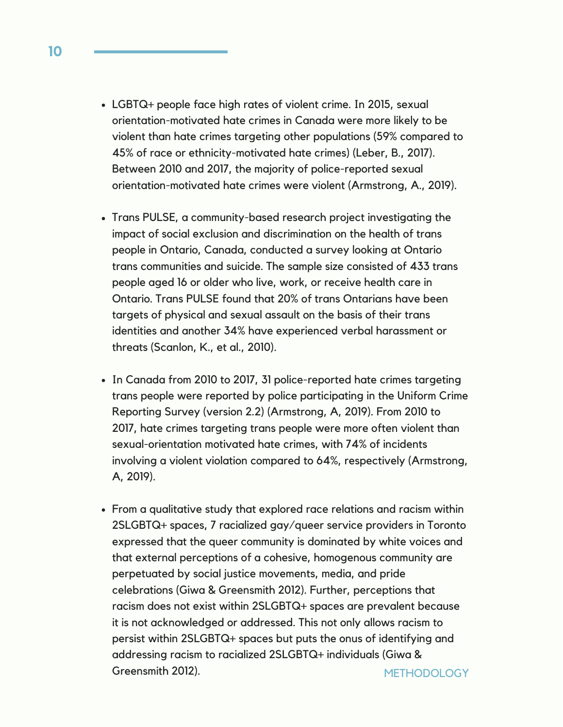- LGBTQ+ people face high rates of violent crime. In 2015, sexual orientation-motivated hate crimes in Canada were more likely to be violent than hate crimes targeting other populations (59% compared to 45% of race or ethnicity-motivated hate crimes) (Leber, B., 2017). Between 2010 and 2017, the majority of police-reported sexual orientation-motivated hate crimes were violent (Armstrong, A., 2019).
- Trans PULSE, a community-based research project investigating the impact of social exclusion and discrimination on the health of trans people in Ontario, Canada, conducted a survey looking at Ontario trans communities and suicide. The sample size consisted of 433 trans people aged 16 or older who live, work, or receive health care in Ontario. Trans PULSE found that 20% of trans Ontarians have been targets of physical and sexual assault on the basis of their trans identities and another 34% have experienced verbal harassment or threats (Scanlon, K., et al., 2010).
- In Canada from 2010 to 2017, 31 police-reported hate crimes targeting trans people were reported by police participating in the Uniform Crime Reporting Survey (version 2.2) (Armstrong, A, 2019). From 2010 to 2017, hate crimes targeting trans people were more often violent than sexual-orientation motivated hate crimes, with 74% of incidents involving a violent violation compared to 64%, respectively (Armstrong, A, 2019).
- **METHODOLOGY** From a qualitative study that explored race relations and racism within 2SLGBTQ+ spaces, 7 racialized gay/queer service providers in Toronto expressed that the queer community is dominated by white voices and that external perceptions of a cohesive, homogenous community are perpetuated by social justice movements, media, and pride celebrations (Giwa & Greensmith 2012). Further, perceptions that racism does not exist within 2SLGBTQ+ spaces are prevalent because it is not acknowledged or addressed. This not only allows racism to persist within 2SLGBTQ+ spaces but puts the onus of identifying and addressing racism to racialized 2SLGBTQ+ individuals (Giwa & Greensmith 2012).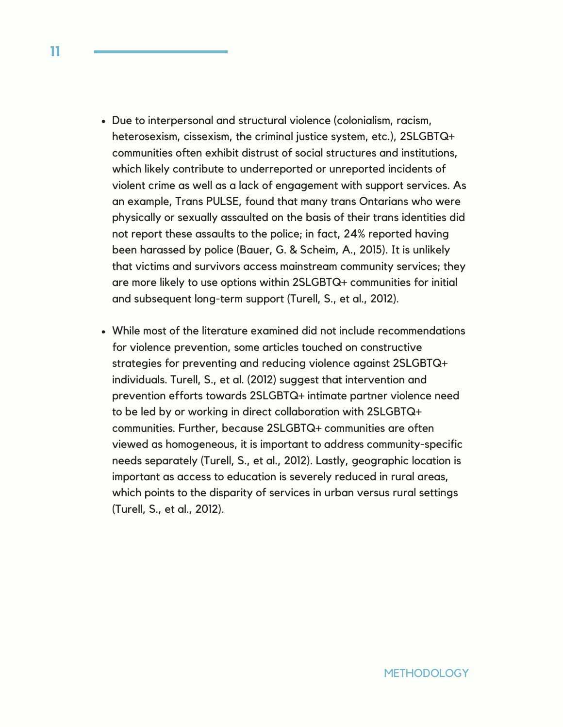- Due to interpersonal and structural violence (colonialism, racism, heterosexism, cissexism, the criminal justice system, etc.), 2SLGBTQ+ communities often exhibit distrust of social structures and institutions, which likely contribute to underreported or unreported incidents of violent crime as well as a lack of engagement with support services. As an example, Trans PULSE, found that many trans Ontarians who were physically or sexually assaulted on the basis of their trans identities did not report these assaults to the police; in fact, 24% reported having been harassed by police (Bauer, G. & Scheim, A., 2015). It is unlikely that victims and survivors access mainstream community services; they are more likely to use options within 2SLGBTQ+ communities for initial and subsequent long-term support (Turell, S., et al., 2012).
- While most of the literature examined did not include recommendations for violence prevention, some articles touched on constructive strategies for preventing and reducing violence against 2SLGBTQ+ individuals. Turell, S., et al. (2012) suggest that intervention and prevention efforts towards 2SLGBTQ+ intimate partner violence need to be led by or working in direct collaboration with 2SLGBTQ+ communities. Further, because 2SLGBTQ+ communities are often viewed as homogeneous, it is important to address community-specific needs separately (Turell, S., et al., 2012). Lastly, geographic location is important as access to education is severely reduced in rural areas, which points to the disparity of services in urban versus rural settings (Turell, S., et al., 2012).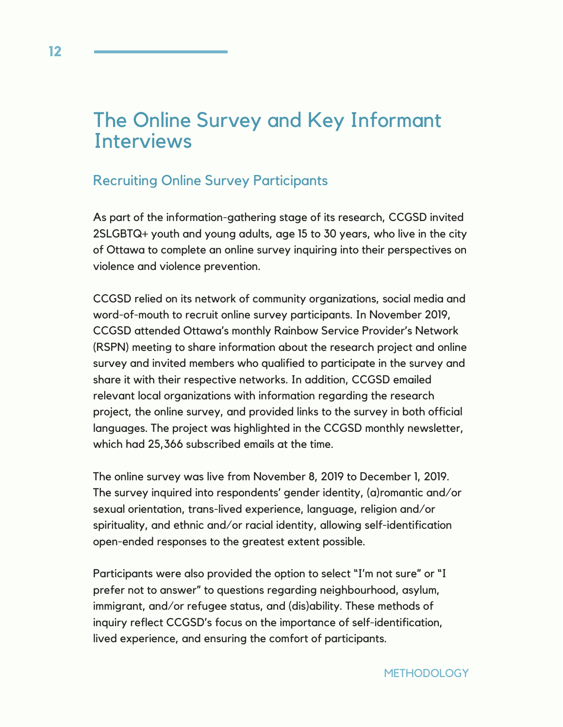# The Online Survey and Key Informant **Interviews**

### Recruiting Online Survey Participants

As part of the information-gathering stage of its research, CCGSD invited 2SLGBTQ+ youth and young adults, age 15 to 30 years, who live in the city of Ottawa to complete an online survey inquiring into their perspectives on violence and violence prevention.

CCGSD relied on its network of community organizations, social media and word-of-mouth to recruit online survey participants. In November 2019, CCGSD attended Ottawa's monthly Rainbow Service Provider's Network (RSPN) meeting to share information about the research project and online survey and invited members who qualified to participate in the survey and share it with their respective networks. In addition, CCGSD emailed relevant local organizations with information regarding the research project, the online survey, and provided links to the survey in both official languages. The project was highlighted in the CCGSD monthly newsletter, which had 25,366 subscribed emails at the time.

The online survey was live from November 8, 2019 to December 1, 2019. The survey inquired into respondents' gender identity, (a)romantic and/or sexual orientation, trans-lived experience, language, religion and/or spirituality, and ethnic and/or racial identity, allowing self-identification open-ended responses to the greatest extent possible.

Participants were also provided the option to select "I'm not sure" or "I prefer not to answer" to questions regarding neighbourhood, asylum, immigrant, and/or refugee status, and (dis)ability. These methods of inquiry reflect CCGSD's focus on the importance of self-identification, lived experience, and ensuring the comfort of participants.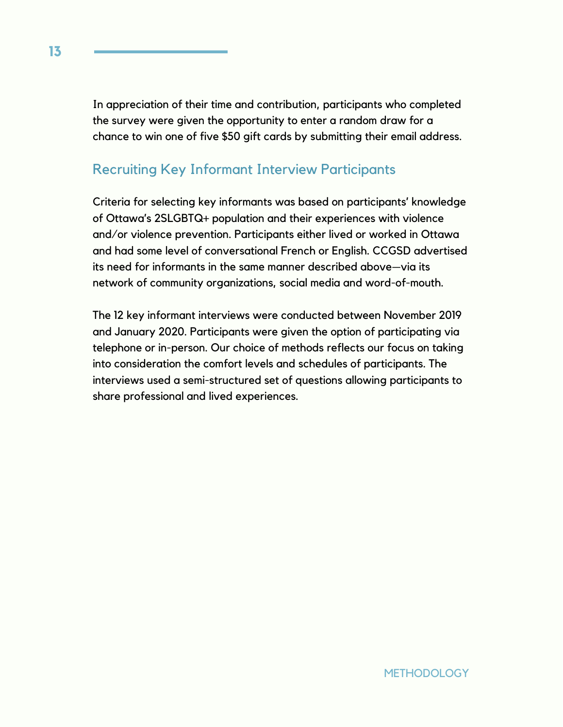In appreciation of their time and contribution, participants who completed the survey were given the opportunity to enter a random draw for a chance to win one of five \$50 gift cards by submitting their email address.

## Recruiting Key Informant Interview Participants

Criteria for selecting key informants was based on participants' knowledge of Ottawa's 2SLGBTQ+ population and their experiences with violence and/or violence prevention. Participants either lived or worked in Ottawa and had some level of conversational French or English. CCGSD advertised its need for informants in the same manner described above—via its network of community organizations, social media and word-of-mouth.

The 12 key informant interviews were conducted between November 2019 and January 2020. Participants were given the option of participating via telephone or in-person. Our choice of methods reflects our focus on taking into consideration the comfort levels and schedules of participants. The interviews used a semi-structured set of questions allowing participants to share professional and lived experiences.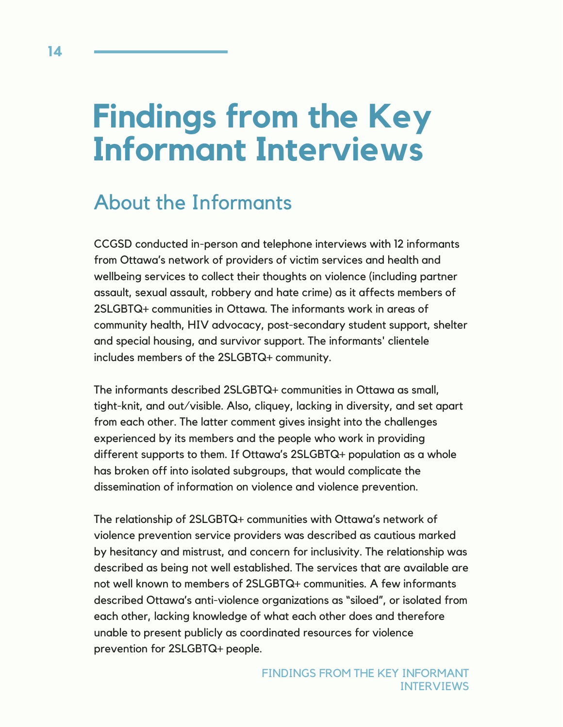# **Findings from the Key Informant Interviews**

# About the Informants

CCGSD conducted in-person and telephone interviews with 12 informants from Ottawa's network of providers of victim services and health and wellbeing services to collect their thoughts on violence (including partner assault, sexual assault, robbery and hate crime) as it affects members of 2SLGBTQ+ communities in Ottawa. The informants work in areas of community health, HIV advocacy, post-secondary student support, shelter and special housing, and survivor support. The informants' clientele includes members of the 2SLGBTQ+ community.

The informants described 2SLGBTQ+ communities in Ottawa as small, tight-knit, and out/visible. Also, cliquey, lacking in diversity, and set apart from each other. The latter comment gives insight into the challenges experienced by its members and the people who work in providing different supports to them. If Ottawa's 2SLGBTQ+ population as a whole has broken off into isolated subgroups, that would complicate the dissemination of information on violence and violence prevention.

The relationship of 2SLGBTQ+ communities with Ottawa's network of violence prevention service providers was described as cautious marked by hesitancy and mistrust, and concern for inclusivity. The relationship was described as being not well established. The services that are available are not well known to members of 2SLGBTQ+ communities. A few informants described Ottawa's anti-violence organizations as "siloed", or isolated from each other, lacking knowledge of what each other does and therefore unable to present publicly as coordinated resources for violence prevention for 2SLGBTQ+ people.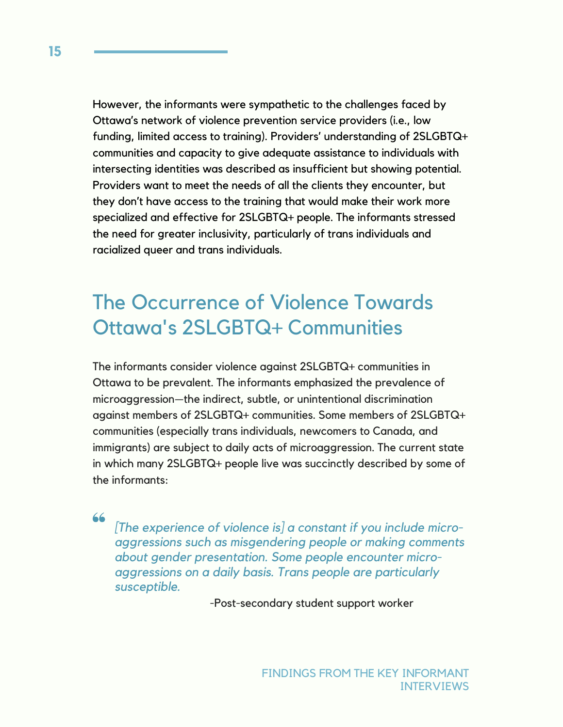However, the informants were sympathetic to the challenges faced by Ottawa's network of violence prevention service providers (i.e., low funding, limited access to training). Providers' understanding of 2SLGBTQ+ communities and capacity to give adequate assistance to individuals with intersecting identities was described as insufficient but showing potential. Providers want to meet the needs of all the clients they encounter, but they don't have access to the training that would make their work more specialized and effective for 2SLGBTQ+ people. The informants stressed the need for greater inclusivity, particularly of trans individuals and racialized queer and trans individuals.

# The Occurrence of Violence Towards Ottawa's 2SLGBTQ+ Communities

The informants consider violence against 2SLGBTQ+ communities in Ottawa to be prevalent. The informants emphasized the prevalence of microaggression—the indirect, subtle, or unintentional discrimination against members of 2SLGBTQ+ communities. Some members of 2SLGBTQ+ communities (especially trans individuals, newcomers to Canada, and immigrants) are subject to daily acts of microaggression. The current state in which many 2SLGBTQ+ people live was succinctly described by some of the informants:

66

*[The experience of violence is] a constant if you include microaggressions such as misgendering people or making comments about gender presentation. Some people encounter microaggressions on a daily basis. Trans people are particularly susceptible.*

-Post-secondary student support worker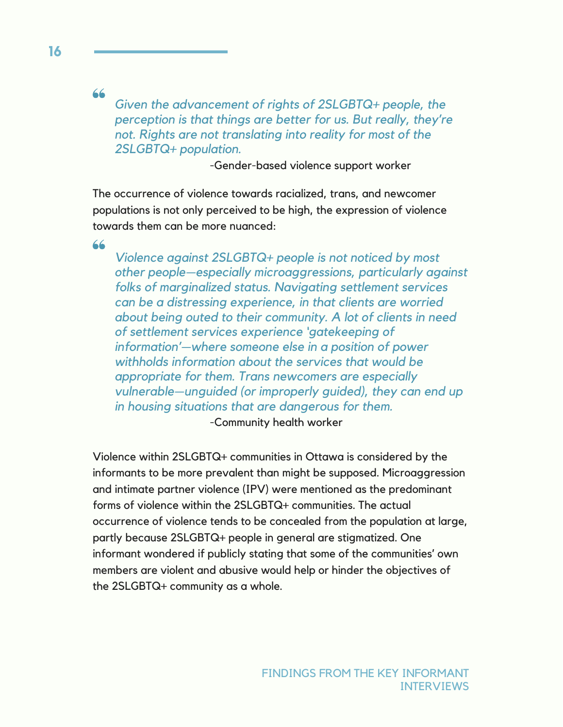66

*Given the advancement of rights of 2SLGBTQ+ people, the perception is that things are better for us. But really, they're not. Rights are not translating into reality for most of the 2SLGBTQ+ population.*

-Gender-based violence support worker

The occurrence of violence towards racialized, trans, and newcomer populations is not only perceived to be high, the expression of violence towards them can be more nuanced:

66

*Violence against 2SLGBTQ+ people is not noticed by most other people—especially microaggressions, particularly against folks of marginalized status. Navigating settlement services can be a distressing experience, in that clients are worried about being outed to their community. A lot of clients in need of settlement services experience 'gatekeeping of information'—where someone else in a position of power withholds information about the services that would be appropriate for them. Trans newcomers are especially vulnerable—unguided (or improperly guided), they can end up in housing situations that are dangerous for them.*

-Community health worker

Violence within 2SLGBTQ+ communities in Ottawa is considered by the informants to be more prevalent than might be supposed. Microaggression and intimate partner violence (IPV) were mentioned as the predominant forms of violence within the 2SLGBTQ+ communities. The actual occurrence of violence tends to be concealed from the population at large, partly because 2SLGBTQ+ people in general are stigmatized. One informant wondered if publicly stating that some of the communities' own members are violent and abusive would help or hinder the objectives of the 2SLGBTQ+ community as a whole.

**16**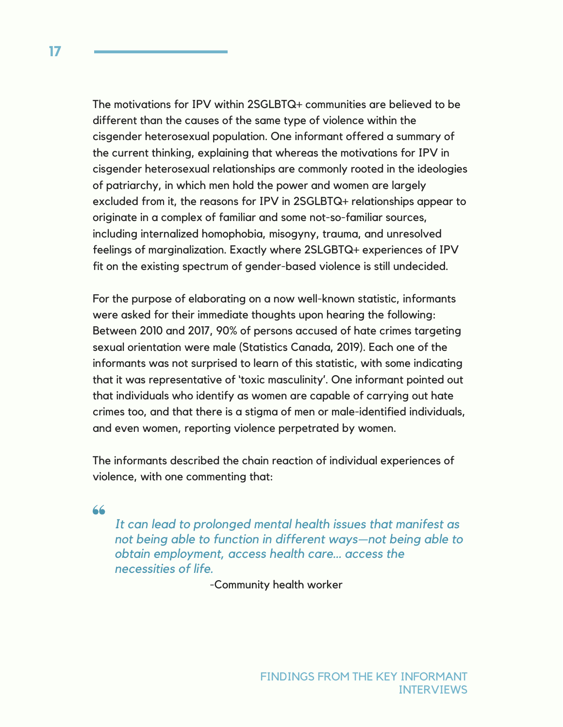The motivations for IPV within 2SGLBTQ+ communities are believed to be different than the causes of the same type of violence within the cisgender heterosexual population. One informant offered a summary of the current thinking, explaining that whereas the motivations for IPV in cisgender heterosexual relationships are commonly rooted in the ideologies of patriarchy, in which men hold the power and women are largely excluded from it, the reasons for IPV in 2SGLBTQ+ relationships appear to originate in a complex of familiar and some not-so-familiar sources, including internalized homophobia, misogyny, trauma, and unresolved feelings of marginalization. Exactly where 2SLGBTQ+ experiences of IPV fit on the existing spectrum of gender-based violence is still undecided.

For the purpose of elaborating on a now well-known statistic, informants were asked for their immediate thoughts upon hearing the following: Between 2010 and 2017, 90% of persons accused of hate crimes targeting sexual orientation were male (Statistics Canada, 2019). Each one of the informants was not surprised to learn of this statistic, with some indicating that it was representative of 'toxic masculinity'. One informant pointed out that individuals who identify as women are capable of carrying out hate crimes too, and that there is a stigma of men or male-identified individuals, and even women, reporting violence perpetrated by women.

The informants described the chain reaction of individual experiences of violence, with one commenting that:

66

*It can lead to prolonged mental health issues that manifest as not being able to function in different ways—not being able to obtain employment, access health care… access the necessities of life.*

-Community health worker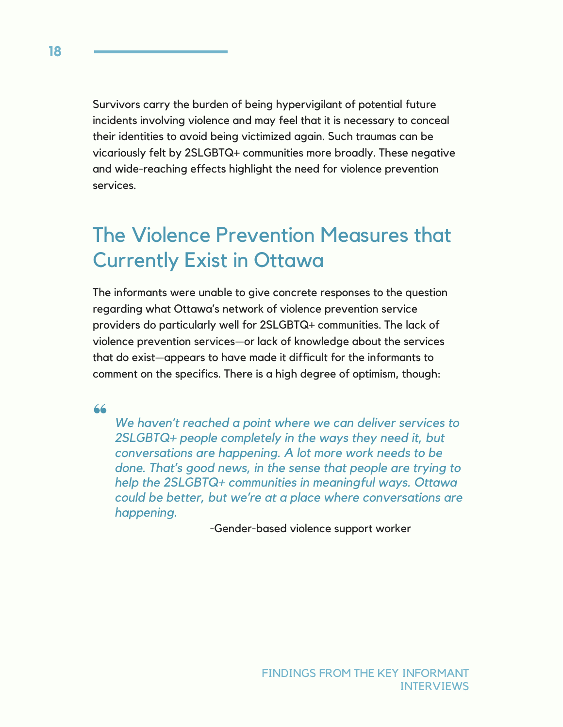Survivors carry the burden of being hypervigilant of potential future incidents involving violence and may feel that it is necessary to conceal their identities to avoid being victimized again. Such traumas can be vicariously felt by 2SLGBTQ+ communities more broadly. These negative and wide-reaching effects highlight the need for violence prevention services.

# The Violence Prevention Measures that Currently Exist in Ottawa

The informants were unable to give concrete responses to the question regarding what Ottawa's network of violence prevention service providers do particularly well for 2SLGBTQ+ communities. The lack of violence prevention services—or lack of knowledge about the services that do exist—appears to have made it difficult for the informants to comment on the specifics. There is a high degree of optimism, though:

66

*We haven't reached a point where we can deliver services to 2SLGBTQ+ people completely in the ways they need it, but conversations are happening. A lot more work needs to be done. That's good news, in the sense that people are trying to help the 2SLGBTQ+ communities in meaningful ways. Ottawa could be better, but we're at a place where conversations are happening.*

-Gender-based violence support worker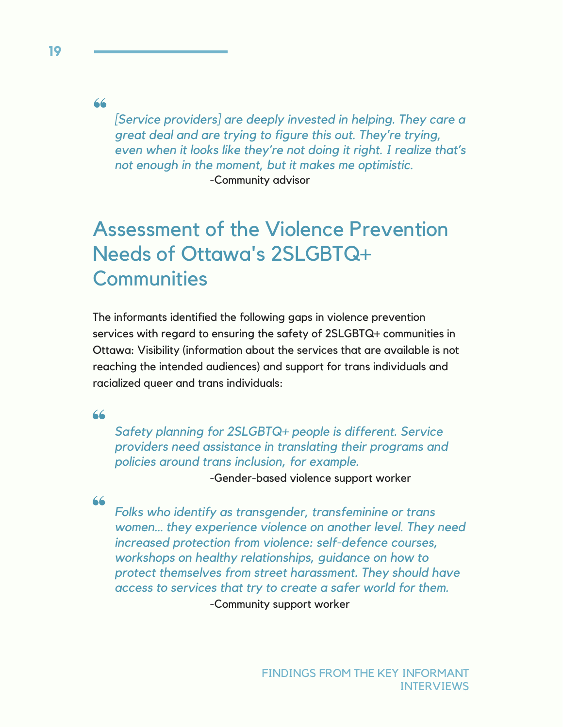66

*[Service providers] are deeply invested in helping. They care a great deal and are trying to figure this out. They're trying, even when it looks like they're not doing it right. I realize that's not enough in the moment, but it makes me optimistic.* -Community advisor

# Assessment of the Violence Prevention Needs of Ottawa's 2SLGBTQ+ **Communities**

The informants identified the following gaps in violence prevention services with regard to ensuring the safety of 2SLGBTQ+ communities in Ottawa: Visibility (information about the services that are available is not reaching the intended audiences) and support for trans individuals and racialized queer and trans individuals:

66

*Safety planning for 2SLGBTQ+ people is different. Service providers need assistance in translating their programs and policies around trans inclusion, for example.*

-Gender-based violence support worker

66

*Folks who identify as transgender, transfeminine or trans women… they experience violence on another level. They need increased protection from violence: self-defence courses, workshops on healthy relationships, guidance on how to protect themselves from street harassment. They should have access to services that try to create a safer world for them.* -Community support worker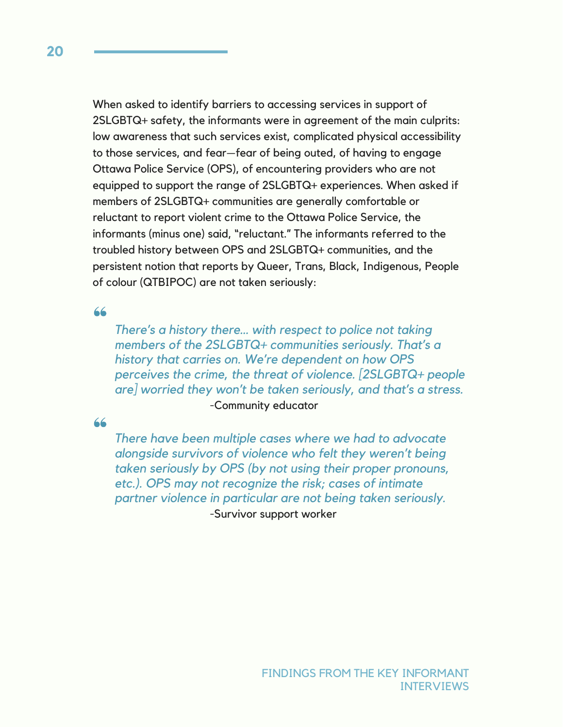When asked to identify barriers to accessing services in support of 2SLGBTQ+ safety, the informants were in agreement of the main culprits: low awareness that such services exist, complicated physical accessibility to those services, and fear—fear of being outed, of having to engage Ottawa Police Service (OPS), of encountering providers who are not equipped to support the range of 2SLGBTQ+ experiences. When asked if members of 2SLGBTQ+ communities are generally comfortable or reluctant to report violent crime to the Ottawa Police Service, the informants (minus one) said, "reluctant." The informants referred to the troubled history between OPS and 2SLGBTQ+ communities, and the persistent notion that reports by Queer, Trans, Black, Indigenous, People of colour (QTBIPOC) are not taken seriously:

66

*There's a history there… with respect to police not taking members of the 2SLGBTQ+ communities seriously. That's a history that carries on. We're dependent on how OPS perceives the crime, the threat of violence. [2SLGBTQ+ people are] worried they won't be taken seriously, and that's a stress.* -Community educator

#### 66

*There have been multiple cases where we had to advocate alongside survivors of violence who felt they weren't being taken seriously by OPS (by not using their proper pronouns, etc.). OPS may not recognize the risk; cases of intimate partner violence in particular are not being taken seriously.* -Survivor support worker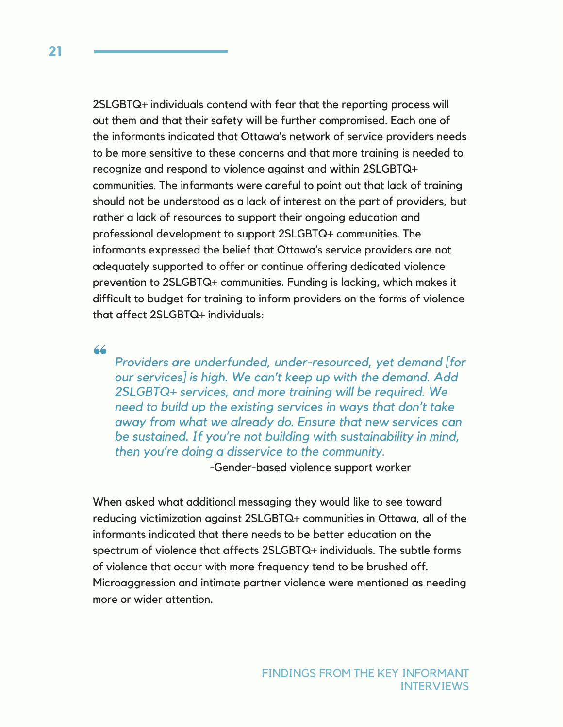2SLGBTQ+ individuals contend with fear that the reporting process will out them and that their safety will be further compromised. Each one of the informants indicated that Ottawa's network of service providers needs to be more sensitive to these concerns and that more training is needed to recognize and respond to violence against and within 2SLGBTQ+ communities. The informants were careful to point out that lack of training should not be understood as a lack of interest on the part of providers, but rather a lack of resources to support their ongoing education and professional development to support 2SLGBTQ+ communities. The informants expressed the belief that Ottawa's service providers are not adequately supported to offer or continue offering dedicated violence prevention to 2SLGBTQ+ communities. Funding is lacking, which makes it difficult to budget for training to inform providers on the forms of violence that affect 2SLGBTQ+ individuals:

66

*Providers are underfunded, under-resourced, yet demand [for our services] is high. We can't keep up with the demand. Add 2SLGBTQ+ services, and more training will be required. We need to build up the existing services in ways that don't take away from what we already do. Ensure that new services can be sustained. If you're not building with sustainability in mind, then you're doing a disservice to the community.*

-Gender-based violence support worker

When asked what additional messaging they would like to see toward reducing victimization against 2SLGBTQ+ communities in Ottawa, all of the informants indicated that there needs to be better education on the spectrum of violence that affects 2SLGBTQ+ individuals. The subtle forms of violence that occur with more frequency tend to be brushed off. Microaggression and intimate partner violence were mentioned as needing more or wider attention.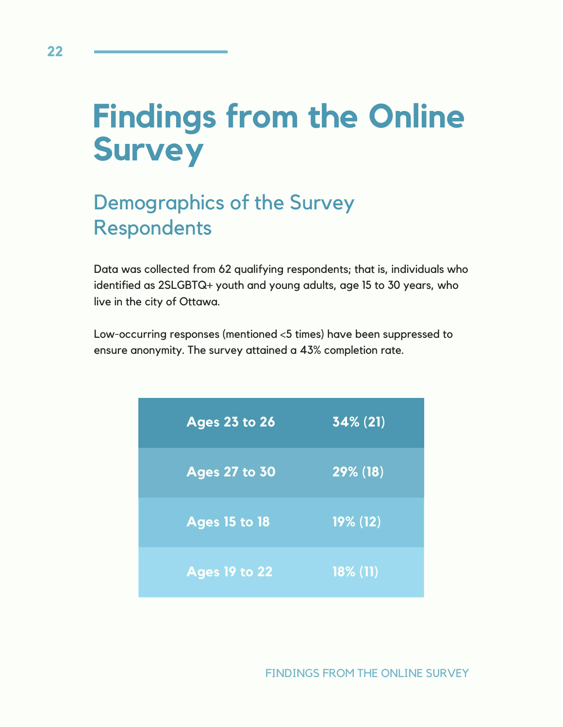# **Findings from the Online Survey**

# Demographics of the Survey Respondents

Data was collected from 62 qualifying respondents; that is, individuals who identified as 2SLGBTQ+ youth and young adults, age 15 to 30 years, who live in the city of Ottawa.

Low-occurring responses (mentioned <5 times) have been suppressed to ensure anonymity. The survey attained a 43% completion rate.

| <b>Ages 23 to 26</b> | $34\%$ (21) |
|----------------------|-------------|
| <b>Ages 27 to 30</b> | 29% (18)    |
| <b>Ages 15 to 18</b> | $19\%$ (12) |
| <b>Ages 19 to 22</b> | $18\%$ (11) |

FINDINGS FROM THE ONLINE SURVEY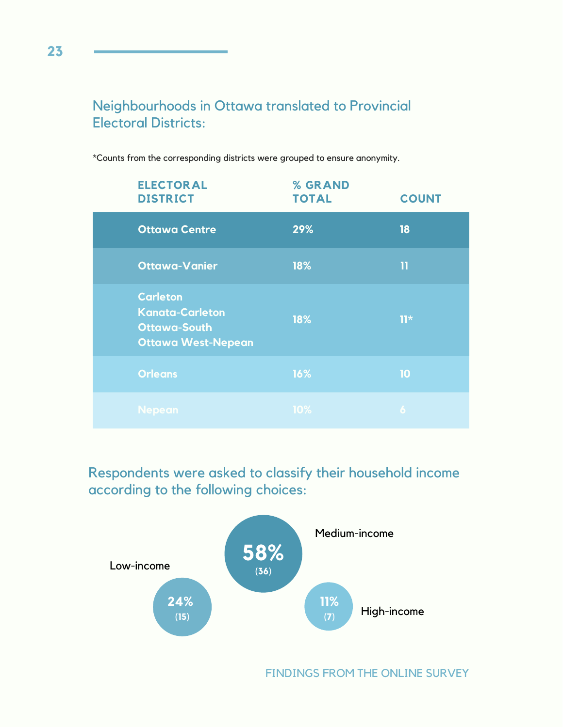## Neighbourhoods in Ottawa translated to Provincial Electoral Districts:

**ELECTORAL DISTRICT Ottawa Centre Ottawa-Vanier Orleans Carleton Kanata-Carleton Ottawa-South Ottawa West-Nepean 29% 18% 18% 16% % GRAND TOTAL COUNT 18 11 11\* 10**

\*Counts from the corresponding districts were grouped to ensure anonymity.

Respondents were asked to classify their household income according to the following choices:



FINDINGS FROM THE ONLINE SURVEY

**23**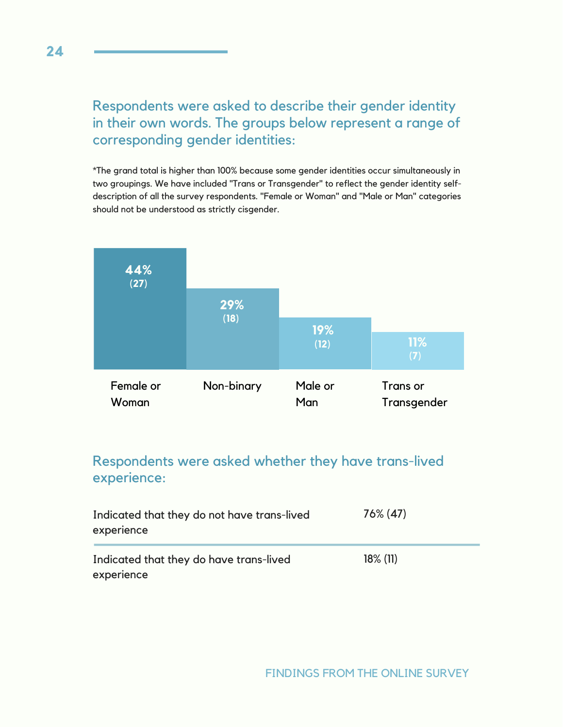## Respondents were asked to describe their gender identity in their own words. The groups below represent a range of corresponding gender identities:

\*The grand total is higher than 100% because some gender identities occur simultaneously in two groupings. We have included "Trans or Transgender" to reflect the gender identity selfdescription of all the survey respondents. "Female or Woman" and "Male or Man" categories should not be understood as strictly cisgender.



## Respondents were asked whether they have trans-lived experience:

| Indicated that they do not have trans-lived<br>experience | $76\%$ (47) |
|-----------------------------------------------------------|-------------|
| Indicated that they do have trans-lived<br>experience     | $18\%$ (11) |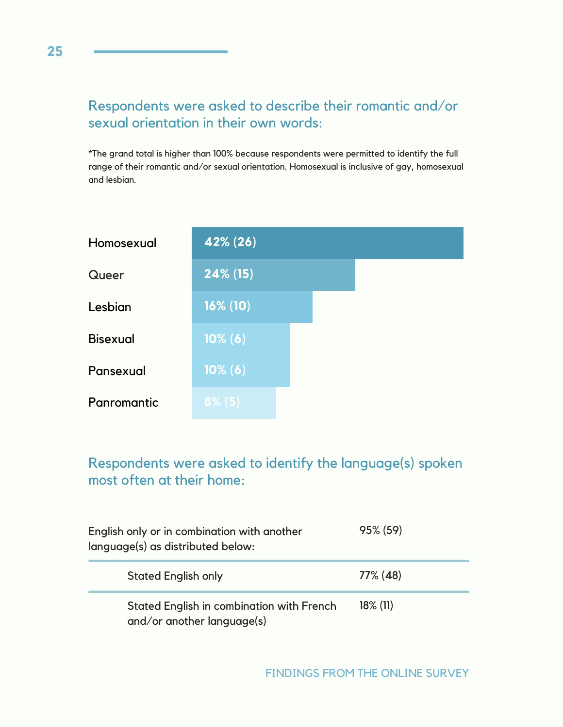## Respondents were asked to describe their romantic and/or sexual orientation in their own words:

\*The grand total is higher than 100% because respondents were permitted to identify the full range of their romantic and/or sexual orientation. Homosexual is inclusive of gay, homosexual and lesbian.

| Homosexual      | 42% (26)    |
|-----------------|-------------|
| Queer           | $24\%$ (15) |
| Lesbian         | $16\%$ (10) |
| <b>Bisexual</b> | $10\% (6)$  |
| Pansexual       | 10% (6)     |
| Panromantic     | $8\%$ (5)   |

## Respondents were asked to identify the language(s) spoken most often at their home:

| English only or in combination with another<br>language(s) as distributed below: | 95% (59)    |
|----------------------------------------------------------------------------------|-------------|
| <b>Stated English only</b>                                                       | 77% (48)    |
| Stated English in combination with French<br>and/or another language(s)          | $18\%$ (11) |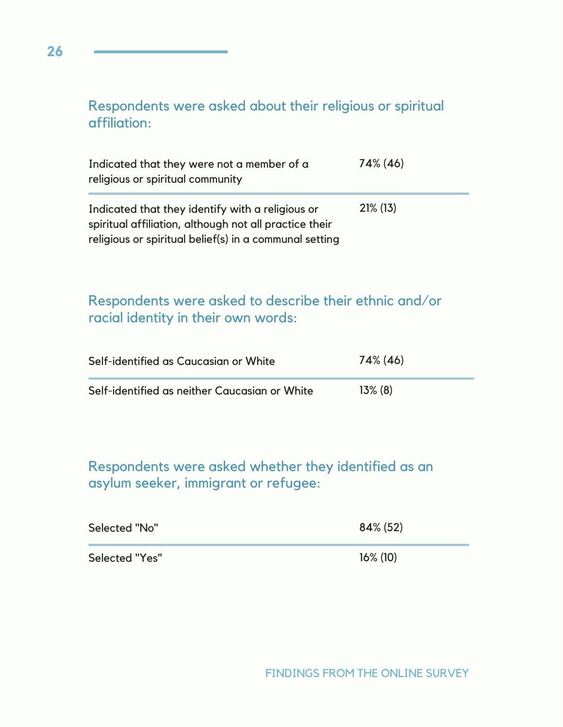## Respondents were asked about their religious or spiritual affiliation:

| Indicated that they were not a member of a<br>religious or spiritual community                                                                                       | 74% (46)    |
|----------------------------------------------------------------------------------------------------------------------------------------------------------------------|-------------|
| Indicated that they identify with a religious or<br>spiritual affiliation, although not all practice their<br>religious or spiritual belief(s) in a communal setting | $21\%$ (13) |

## Respondents were asked to describe their ethnic and/or racial identity in their own words:

| Self-identified as Caucasian or White         | 74% (46)   |
|-----------------------------------------------|------------|
| Self-identified as neither Caucasian or White | $13\%$ (8) |

Respondents were asked whether they identified as an asylum seeker, immigrant or refugee:

| Selected "No"         | $84\%$ (52) |
|-----------------------|-------------|
| <b>Selected "Yes"</b> | $16\%$ (10) |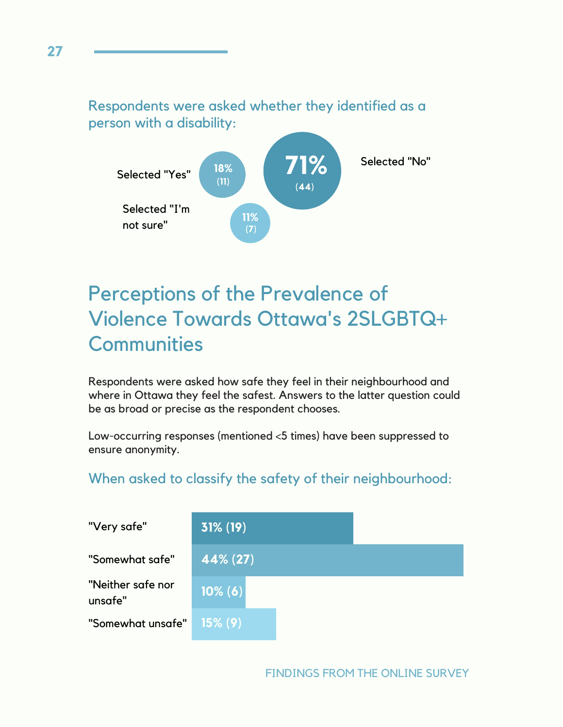## Respondents were asked whether they identified as a person with a disability:



# Perceptions of the Prevalence of Violence Towards Ottawa's 2SLGBTQ+ **Communities**

Respondents were asked how safe they feel in their neighbourhood and where in Ottawa they feel the safest. Answers to the latter question could be as broad or precise as the respondent chooses.

Low-occurring responses (mentioned <5 times) have been suppressed to ensure anonymity.

## When asked to classify the safety of their neighbourhood:



#### FINDINGS FROM THE ONLINE SURVEY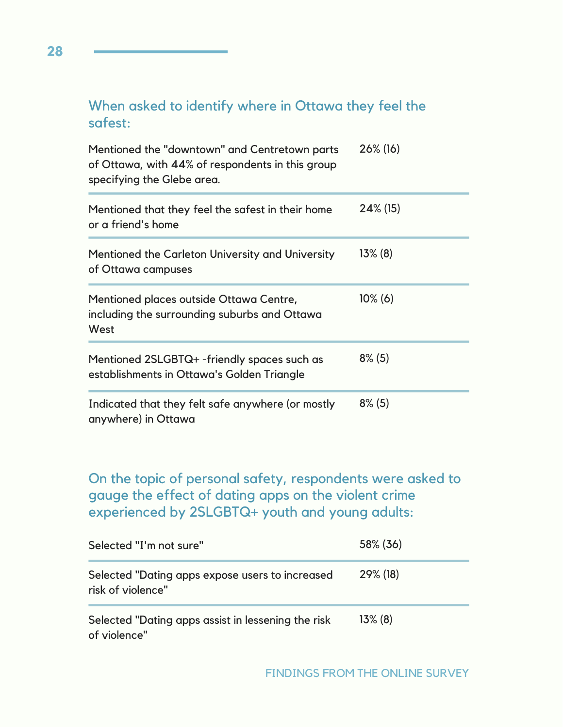## When asked to identify where in Ottawa they feel the safest:

| Mentioned the "downtown" and Centretown parts<br>of Ottawa, with 44% of respondents in this group<br>specifying the Glebe area. | 26% (16)    |
|---------------------------------------------------------------------------------------------------------------------------------|-------------|
| Mentioned that they feel the safest in their home<br>or a friend's home                                                         | $24\%$ (15) |
| Mentioned the Carleton University and University<br>of Ottawa campuses                                                          | $13\%$ (8)  |
| Mentioned places outside Ottawa Centre,<br>including the surrounding suburbs and Ottawa<br>West                                 | $10\%$ (6)  |
| Mentioned 2SLGBTQ+ -friendly spaces such as<br>establishments in Ottawa's Golden Triangle                                       | $8\%$ (5)   |
| Indicated that they felt safe anywhere (or mostly<br>anywhere) in Ottawa                                                        | $8\%$ (5)   |

On the topic of personal safety, respondents were asked to gauge the effect of dating apps on the violent crime experienced by 2SLGBTQ+ youth and young adults:

| Selected "I'm not sure"                                              | 58% (36)   |
|----------------------------------------------------------------------|------------|
| Selected "Dating apps expose users to increased<br>risk of violence" | 29% (18)   |
| Selected "Dating apps assist in lessening the risk<br>of violence"   | $13\%$ (8) |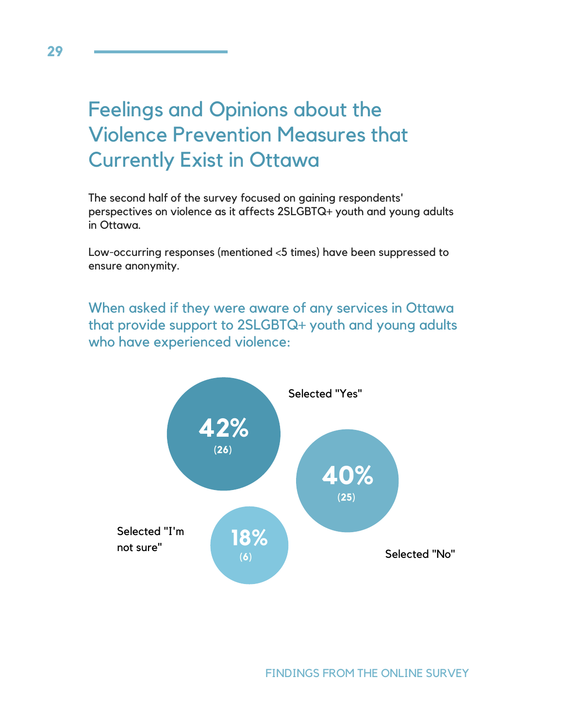# Feelings and Opinions about the Violence Prevention Measures that Currently Exist in Ottawa

The second half of the survey focused on gaining respondents' perspectives on violence as it affects 2SLGBTQ+ youth and young adults in Ottawa.

Low-occurring responses (mentioned <5 times) have been suppressed to ensure anonymity.

When asked if they were aware of any services in Ottawa that provide support to 2SLGBTQ+ youth and young adults who have experienced violence:

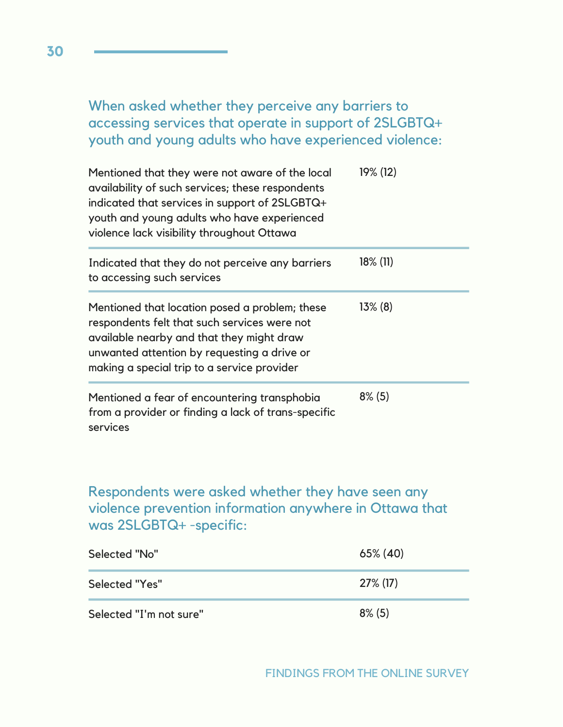When asked whether they perceive any barriers to accessing services that operate in support of 2SLGBTQ+ youth and young adults who have experienced violence:

| Mentioned that they were not aware of the local<br>availability of such services; these respondents<br>indicated that services in support of 2SLGBTQ+<br>youth and young adults who have experienced<br>violence lack visibility throughout Ottawa | 19% (12)    |
|----------------------------------------------------------------------------------------------------------------------------------------------------------------------------------------------------------------------------------------------------|-------------|
| Indicated that they do not perceive any barriers<br>to accessing such services                                                                                                                                                                     | $18\%$ (11) |
| Mentioned that location posed a problem; these<br>respondents felt that such services were not<br>available nearby and that they might draw<br>unwanted attention by requesting a drive or<br>making a special trip to a service provider          | $13\%$ (8)  |
| Mentioned a fear of encountering transphobia<br>from a provider or finding a lack of trans-specific<br>services                                                                                                                                    | $8\%$ (5)   |

## Respondents were asked whether they have seen any violence prevention information anywhere in Ottawa that was 2SLGBTQ+ -specific:

| Selected "No"           | $65\%$ (40) |
|-------------------------|-------------|
| Selected "Yes"          | $27\%$ (17) |
| Selected "I'm not sure" | $8\%$ (5)   |

**30**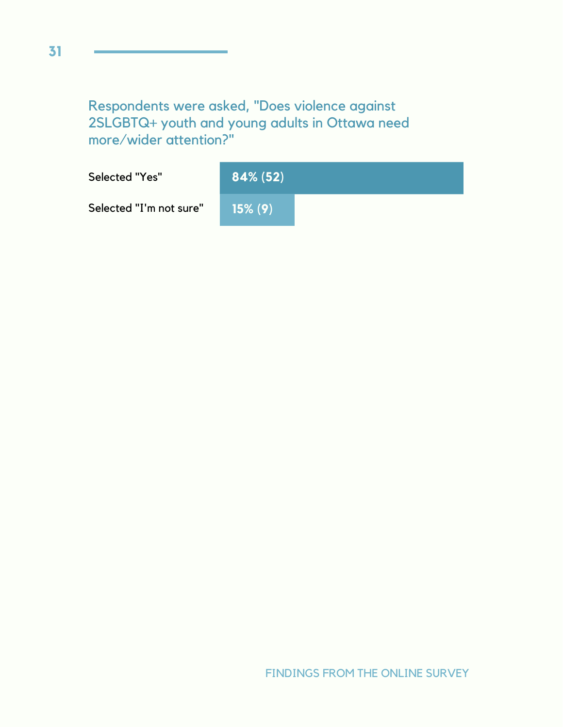Respondents were asked, "Does violence against 2SLGBTQ+ youth and young adults in Ottawa need more/wider attention?"

| Selected "Yes"          | $84\% (52)$ |  |
|-------------------------|-------------|--|
| Selected "I'm not sure" | $15\%$ (9)  |  |

FINDINGS FROM THE ONLINE SURVEY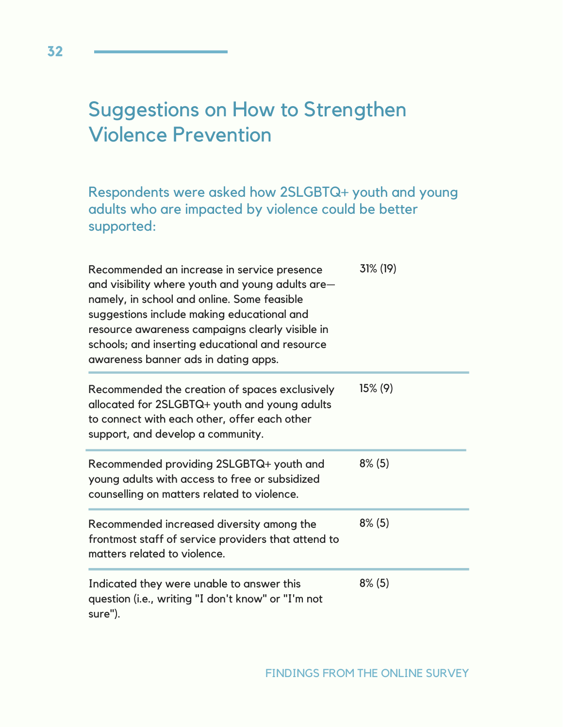# Suggestions on How to Strengthen Violence Prevention

Respondents were asked how 2SLGBTQ+ youth and young adults who are impacted by violence could be better supported:

| Recommended an increase in service presence<br>and visibility where youth and young adults are-<br>namely, in school and online. Some feasible<br>suggestions include making educational and<br>resource awareness campaigns clearly visible in<br>schools; and inserting educational and resource<br>awareness banner ads in dating apps. | 31% (19)   |
|--------------------------------------------------------------------------------------------------------------------------------------------------------------------------------------------------------------------------------------------------------------------------------------------------------------------------------------------|------------|
| Recommended the creation of spaces exclusively<br>allocated for 2SLGBTQ+ youth and young adults<br>to connect with each other, offer each other<br>support, and develop a community.                                                                                                                                                       | $15\% (9)$ |
| Recommended providing 2SLGBTQ+ youth and<br>young adults with access to free or subsidized<br>counselling on matters related to violence.                                                                                                                                                                                                  | $8\%$ (5)  |
| Recommended increased diversity among the<br>frontmost staff of service providers that attend to<br>matters related to violence.                                                                                                                                                                                                           | $8\%$ (5)  |
| Indicated they were unable to answer this<br>question (i.e., writing "I don't know" or "I'm not<br>sure").                                                                                                                                                                                                                                 | $8\%$ (5)  |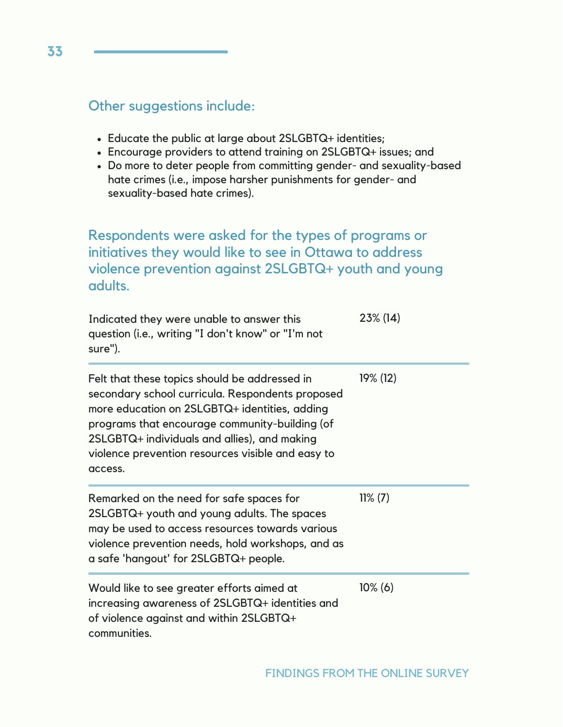### Other suggestions include:

- Educate the public at large about 2SLGBTQ+ identities;
- Encourage providers to attend training on 2SLGBTQ+ issues; and
- Do more to deter people from committing gender- and sexuality-based hate crimes (i.e., impose harsher punishments for gender- and sexuality-based hate crimes).

## Respondents were asked for the types of programs or initiatives they would like to see in Ottawa to address violence prevention against 2SLGBTQ+ youth and young adults.

| Indicated they were unable to answer this<br>question (i.e., writing "I don't know" or "I'm not<br>sure").                                                                                                                                                                                                           | 23% (14)   |
|----------------------------------------------------------------------------------------------------------------------------------------------------------------------------------------------------------------------------------------------------------------------------------------------------------------------|------------|
| Felt that these topics should be addressed in<br>secondary school curricula. Respondents proposed<br>more education on 2SLGBTQ+ identities, adding<br>programs that encourage community-building (of<br>2SLGBTQ+ individuals and allies), and making<br>violence prevention resources visible and easy to<br>access. | 19% (12)   |
| Remarked on the need for safe spaces for<br>2SLGBTQ+ youth and young adults. The spaces<br>may be used to access resources towards various<br>violence prevention needs, hold workshops, and as<br>a safe 'hangout' for 2SLGBTQ+ people.                                                                             | $11\% (7)$ |
| Would like to see greater efforts aimed at<br>increasing awareness of 2SLGBTQ+ identities and<br>of violence against and within 2SLGBTQ+<br>communities.                                                                                                                                                             | $10\%$ (6) |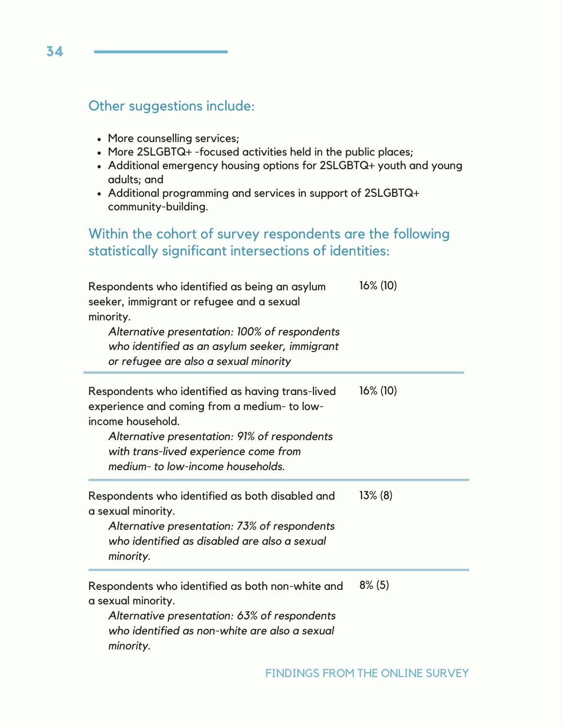### Other suggestions include:

- More counselling services;
- More 2SLGBTQ+ -focused activities held in the public places;
- Additional emergency housing options for 2SLGBTQ+ youth and young adults; and
- Additional programming and services in support of 2SLGBTQ+ community-building.

### Within the cohort of survey respondents are the following statistically significant intersections of identities:

| Respondents who identified as being an asylum<br>seeker, immigrant or refugee and a sexual<br>minority.<br>Alternative presentation: 100% of respondents<br>who identified as an asylum seeker, immigrant<br>or refugee are also a sexual minority  | $16\%$ (10) |
|-----------------------------------------------------------------------------------------------------------------------------------------------------------------------------------------------------------------------------------------------------|-------------|
| Respondents who identified as having trans-lived<br>experience and coming from a medium- to low-<br>income household.<br>Alternative presentation: 91% of respondents<br>with trans-lived experience come from<br>medium- to low-income households. | $16\%$ (10) |
| Respondents who identified as both disabled and<br>a sexual minority.<br>Alternative presentation: 73% of respondents<br>who identified as disabled are also a sexual<br>minority.                                                                  | $13\%$ (8)  |
| Respondents who identified as both non-white and<br>a sexual minority.<br>Alternative presentation: 63% of respondents<br>who identified as non-white are also a sexual<br>minority.                                                                | $8\%$ (5)   |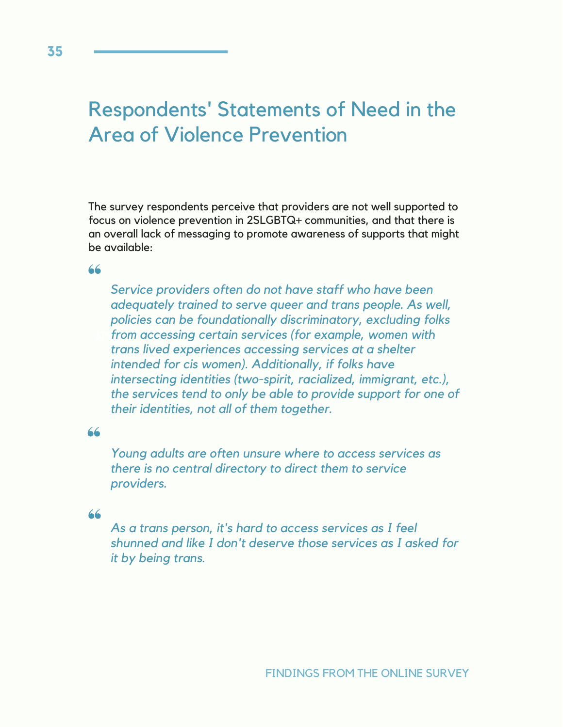# Respondents' Statements of Need in the Area of Violence Prevention

The survey respondents perceive that providers are not well supported to focus on violence prevention in 2SLGBTQ+ communities, and that there is an overall lack of messaging to promote awareness of supports that might be available:

 $66$ 

**31%** *from accessing certain services (for example, women with Service providers often do not have staff who have been adequately trained to serve queer and trans people. As well, policies can be foundationally discriminatory, excluding folks trans lived experiences accessing services at a shelter intended for cis women). Additionally, if folks have intersecting identities (two-spirit, racialized, immigrant, etc.), the services tend to only be able to provide support for one of their identities, not all of them together.*

66

*Young adults are often unsure where to access services as there is no central directory to direct them to service providers.*

#### 66

*As a trans person, it's hard to access services as I feel shunned and like I don't deserve those services as I asked for it by being trans.*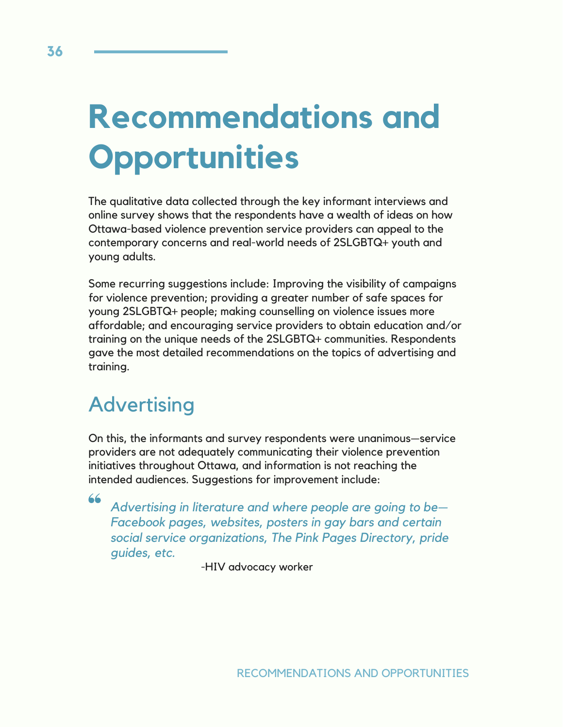# **Recommendations and Opportunities**

The qualitative data collected through the key informant interviews and online survey shows that the respondents have a wealth of ideas on how Ottawa-based violence prevention service providers can appeal to the contemporary concerns and real-world needs of 2SLGBTQ+ youth and young adults.

**31%** training on the unique needs of the 2SLGBTQ+ communities. Respondents Some recurring suggestions include: Improving the visibility of campaigns for violence prevention; providing a greater number of safe spaces for young 2SLGBTQ+ people; making counselling on violence issues more affordable; and encouraging service providers to obtain education and/or gave the most detailed recommendations on the topics of advertising and training.

# **Advertising**

On this, the informants and survey respondents were unanimous—service providers are not adequately communicating their violence prevention initiatives throughout Ottawa, and information is not reaching the intended audiences. Suggestions for improvement include:

66

*Advertising in literature and where people are going to be— Facebook pages, websites, posters in gay bars and certain social service organizations, The Pink Pages Directory, pride guides, etc.*

-HIV advocacy worker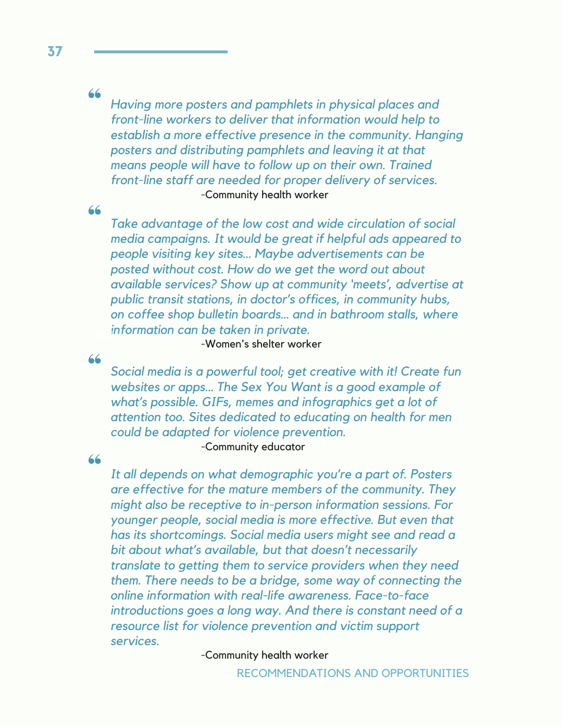#### 66

*Having more posters and pamphlets in physical places and front-line workers to deliver that information would help to establish a more effective presence in the community. Hanging posters and distributing pamphlets and leaving it at that means people will have to follow up on their own. Trained front-line staff are needed for proper delivery of services.* -Community health worker

66

*Take advantage of the low cost and wide circulation of social media campaigns. It would be great if helpful ads appeared to people visiting key sites… Maybe advertisements can be posted without cost. How do we get the word out about available services? Show up at community 'meets', advertise at public transit stations, in doctor's offices, in community hubs, on coffee shop bulletin boards… and in bathroom stalls, where information can be taken in private.* **31%**

-Women's shelter worker

66

*Social media is a powerful tool; get creative with it! Create fun websites or apps… The Sex You Want is a good example of what's possible. GIFs, memes and infographics get a lot of attention too. Sites dedicated to educating on health for men could be adapted for violence prevention.* -Community educator

66

*It all depends on what demographic you're a part of. Posters are effective for the mature members of the community. They might also be receptive to in-person information sessions. For younger people, social media is more effective. But even that has its shortcomings. Social media users might see and read a bit about what's available, but that doesn't necessarily translate to getting them to service providers when they need them. There needs to be a bridge, some way of connecting the online information with real-life awareness. Face-to-face introductions goes a long way. And there is constant need of a resource list for violence prevention and victim support services.*

-Community health worker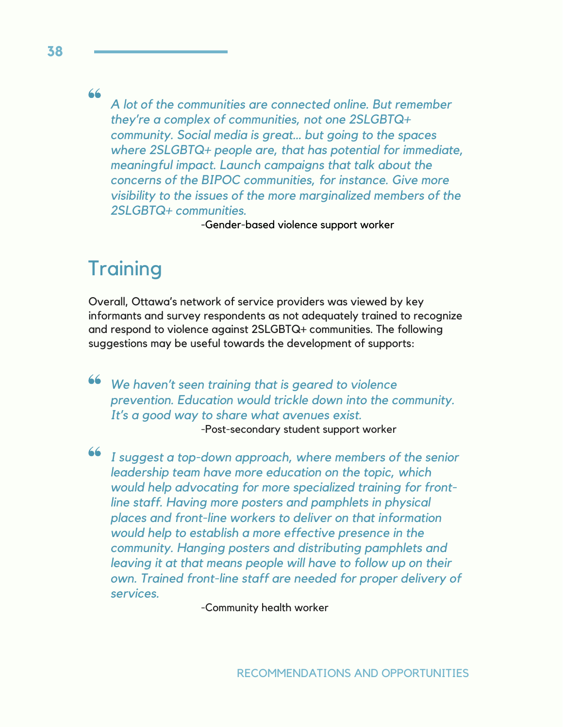66

*A lot of the communities are connected online. But remember they're a complex of communities, not one 2SLGBTQ+ community. Social media is great… but going to the spaces where 2SLGBTQ+ people are, that has potential for immediate, meaningful impact. Launch campaigns that talk about the concerns of the BIPOC communities, for instance. Give more visibility to the issues of the more marginalized members of the 2SLGBTQ+ communities.*

-Gender-based violence support worker

# **Training**

Overall, Ottawa's network of service providers was viewed by key informants and survey respondents as not adequately trained to recognize and respond to violence against 2SLGBTQ+ communities. The following suggestions may be useful towards the development of supports:

66 *We haven't seen training that is geared to violence prevention. Education would trickle down into the community. It's a good way to share what avenues exist.* -Post-secondary student support worker

66 *I suggest a top-down approach, where members of the senior leadership team have more education on the topic, which would help advocating for more specialized training for frontline staff. Having more posters and pamphlets in physical places and front-line workers to deliver on that information would help to establish a more effective presence in the community. Hanging posters and distributing pamphlets and leaving it at that means people will have to follow up on their own. Trained front-line staff are needed for proper delivery of services.*

-Community health worker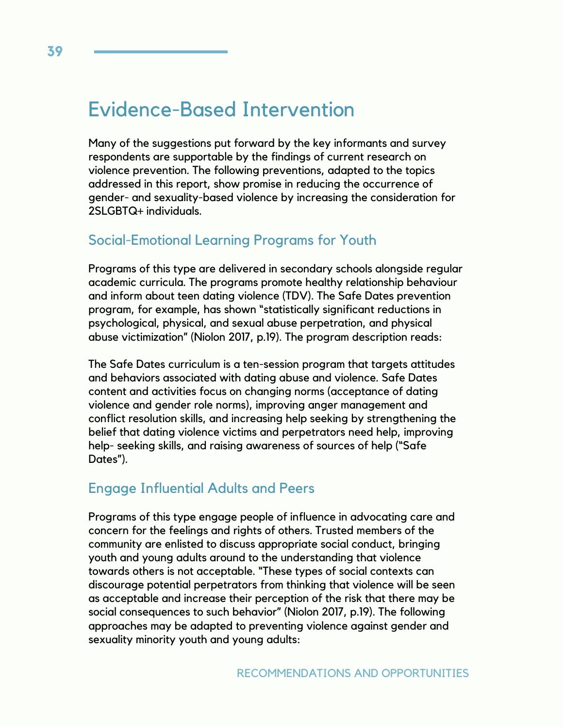# Evidence-Based Intervention

Many of the suggestions put forward by the key informants and survey respondents are supportable by the findings of current research on violence prevention. The following preventions, adapted to the topics addressed in this report, show promise in reducing the occurrence of gender- and sexuality-based violence by increasing the consideration for 2SLGBTQ+ individuals.

#### Social-Emotional Learning Programs for Youth

Programs of this type are delivered in secondary schools alongside regular academic curricula. The programs promote healthy relationship behaviour and inform about teen dating violence (TDV). The Safe Dates prevention program, for example, has shown "statistically significant reductions in psychological, physical, and sexual abuse perpetration, and physical abuse victimization" (Niolon 2017, p.19). The program description reads:

The Safe Dates curriculum is a ten-session program that targets attitudes and behaviors associated with dating abuse and violence. Safe Dates content and activities focus on changing norms (acceptance of dating violence and gender role norms), improving anger management and conflict resolution skills, and increasing help seeking by strengthening the belief that dating violence victims and perpetrators need help, improving help- seeking skills, and raising awareness of sources of help ("Safe Dates").

### Engage Influential Adults and Peers

Programs of this type engage people of influence in advocating care and concern for the feelings and rights of others. Trusted members of the community are enlisted to discuss appropriate social conduct, bringing youth and young adults around to the understanding that violence towards others is not acceptable. "These types of social contexts can discourage potential perpetrators from thinking that violence will be seen as acceptable and increase their perception of the risk that there may be social consequences to such behavior" (Niolon 2017, p.19). The following approaches may be adapted to preventing violence against gender and sexuality minority youth and young adults: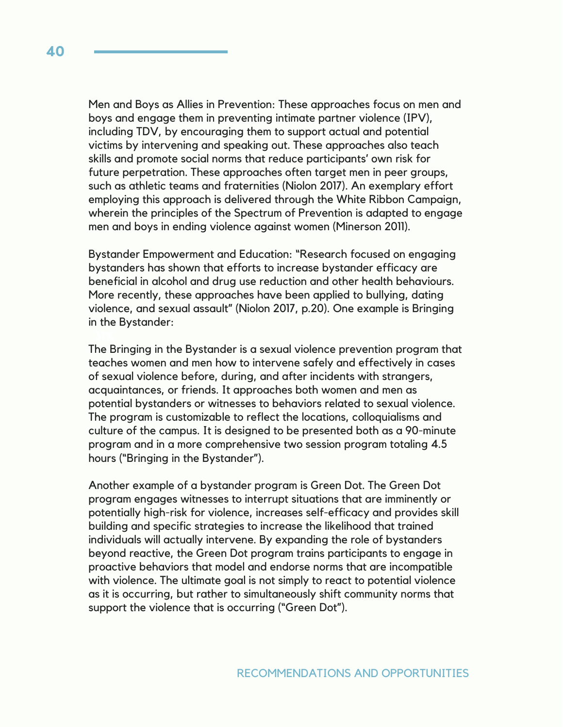Men and Boys as Allies in Prevention: These approaches focus on men and boys and engage them in preventing intimate partner violence (IPV), including TDV, by encouraging them to support actual and potential victims by intervening and speaking out. These approaches also teach skills and promote social norms that reduce participants' own risk for future perpetration. These approaches often target men in peer groups, such as athletic teams and fraternities (Niolon 2017). An exemplary effort employing this approach is delivered through the White Ribbon Campaign, wherein the principles of the Spectrum of Prevention is adapted to engage men and boys in ending violence against women (Minerson 2011).

Bystander Empowerment and Education: "Research focused on engaging bystanders has shown that efforts to increase bystander efficacy are beneficial in alcohol and drug use reduction and other health behaviours. More recently, these approaches have been applied to bullying, dating violence, and sexual assault" (Niolon 2017, p.20). One example is Bringing in the Bystander:

The Bringing in the Bystander is a sexual violence prevention program that teaches women and men how to intervene safely and effectively in cases of sexual violence before, during, and after incidents with strangers, acquaintances, or friends. It approaches both women and men as potential bystanders or witnesses to behaviors related to sexual violence. The program is customizable to reflect the locations, colloquialisms and culture of the campus. It is designed to be presented both as a 90-minute program and in a more comprehensive two session program totaling 4.5 hours ("Bringing in the Bystander").

Another example of a bystander program is Green Dot. The Green Dot program engages witnesses to interrupt situations that are imminently or potentially high-risk for violence, increases self-efficacy and provides skill building and specific strategies to increase the likelihood that trained individuals will actually intervene. By expanding the role of bystanders beyond reactive, the Green Dot program trains participants to engage in proactive behaviors that model and endorse norms that are incompatible with violence. The ultimate goal is not simply to react to potential violence as it is occurring, but rather to simultaneously shift community norms that support the violence that is occurring ("Green Dot").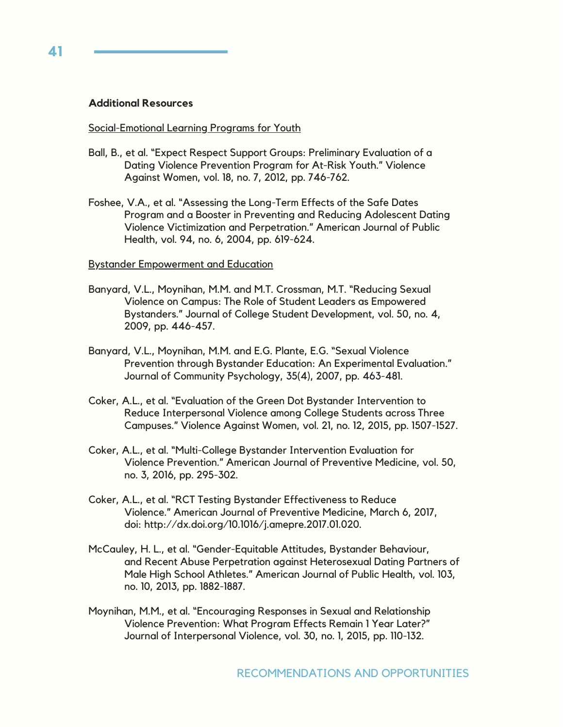#### **Additional Resources**

#### Social-Emotional Learning Programs for Youth

- Ball, B., et al. "Expect Respect Support Groups: Preliminary Evaluation of a Dating Violence Prevention Program for At-Risk Youth." Violence Against Women, vol. 18, no. 7, 2012, pp. 746-762.
- Foshee, V.A., et al. "Assessing the Long-Term Effects of the Safe Dates Program and a Booster in Preventing and Reducing Adolescent Dating Violence Victimization and Perpetration." American Journal of Public Health, vol. 94, no. 6, 2004, pp. 619-624.

#### Bystander Empowerment and Education

- Banyard, V.L., Moynihan, M.M. and M.T. Crossman, M.T. "Reducing Sexual Violence on Campus: The Role of Student Leaders as Empowered Bystanders." Journal of College Student Development, vol. 50, no. 4, 2009, pp. 446-457.
- Banyard, V.L., Moynihan, M.M. and E.G. Plante, E.G. "Sexual Violence Prevention through Bystander Education: An Experimental Evaluation." Journal of Community Psychology, 35(4), 2007, pp. 463-481.
- Coker, A.L., et al. "Evaluation of the Green Dot Bystander Intervention to Reduce Interpersonal Violence among College Students across Three Campuses." Violence Against Women, vol. 21, no. 12, 2015, pp. 1507-1527.
- Coker, A.L., et al. "Multi-College Bystander Intervention Evaluation for Violence Prevention." American Journal of Preventive Medicine, vol. 50, no. 3, 2016, pp. 295-302.
- Coker, A.L., et al. "RCT Testing Bystander Effectiveness to Reduce Violence." American Journal of Preventive Medicine, March 6, 2017, doi: http://dx.doi.org/10.1016/j.amepre.2017.01.020.
- McCauley, H. L., et al. "Gender-Equitable Attitudes, Bystander Behaviour, and Recent Abuse Perpetration against Heterosexual Dating Partners of Male High School Athletes." American Journal of Public Health, vol. 103, no. 10, 2013, pp. 1882-1887.
- Moynihan, M.M., et al. "Encouraging Responses in Sexual and Relationship Violence Prevention: What Program Effects Remain 1 Year Later?" Journal of Interpersonal Violence, vol. 30, no. 1, 2015, pp. 110-132.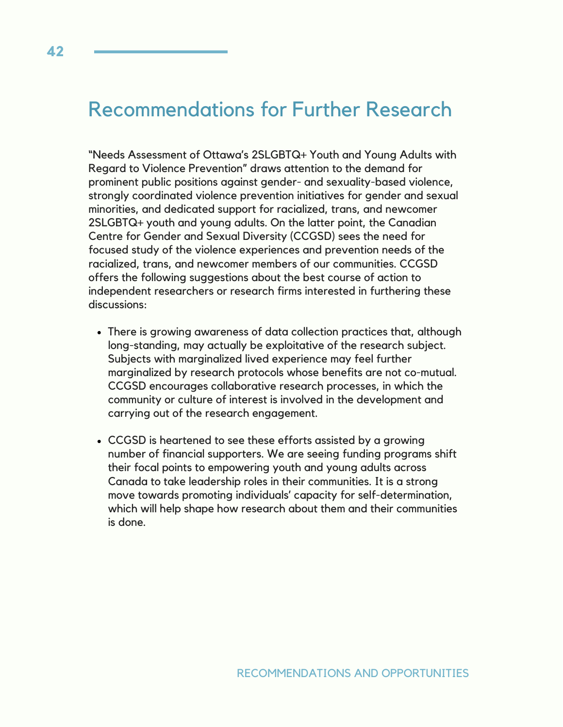# Recommendations for Further Research

"Needs Assessment of Ottawa's 2SLGBTQ+ Youth and Young Adults with Regard to Violence Prevention" draws attention to the demand for prominent public positions against gender- and sexuality-based violence, strongly coordinated violence prevention initiatives for gender and sexual minorities, and dedicated support for racialized, trans, and newcomer 2SLGBTQ+ youth and young adults. On the latter point, the Canadian Centre for Gender and Sexual Diversity (CCGSD) sees the need for focused study of the violence experiences and prevention needs of the racialized, trans, and newcomer members of our communities. CCGSD offers the following suggestions about the best course of action to independent researchers or research firms interested in furthering these discussions:

- There is growing awareness of data collection practices that, although long-standing, may actually be exploitative of the research subject. Subjects with marginalized lived experience may feel further marginalized by research protocols whose benefits are not co-mutual. CCGSD encourages collaborative research processes, in which the community or culture of interest is involved in the development and carrying out of the research engagement.
- CCGSD is heartened to see these efforts assisted by a growing number of financial supporters. We are seeing funding programs shift their focal points to empowering youth and young adults across Canada to take leadership roles in their communities. It is a strong move towards promoting individuals' capacity for self-determination, which will help shape how research about them and their communities is done.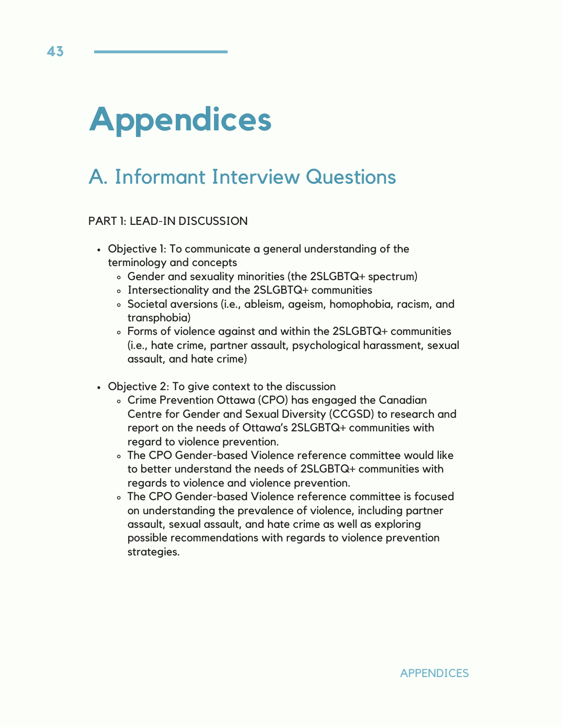# **Appendices**

# A. Informant Interview Questions

#### PART 1: LEAD-IN DISCUSSION

- Objective 1: To communicate a general understanding of the terminology and concepts
	- Gender and sexuality minorities (the 2SLGBTQ+ spectrum)
	- Intersectionality and the 2SLGBTQ+ communities
	- Societal aversions (i.e., ableism, ageism, homophobia, racism, and transphobia)
	- Forms of violence against and within the 2SLGBTQ+ communities (i.e., hate crime, partner assault, psychological harassment, sexual assault, and hate crime)
- Objective 2: To give context to the discussion
	- Crime Prevention Ottawa (CPO) has engaged the Canadian Centre for Gender and Sexual Diversity (CCGSD) to research and report on the needs of Ottawa's 2SLGBTQ+ communities with regard to violence prevention.
	- The CPO Gender-based Violence reference committee would like to better understand the needs of 2SLGBTQ+ communities with regards to violence and violence prevention.
	- The CPO Gender-based Violence reference committee is focused on understanding the prevalence of violence, including partner assault, sexual assault, and hate crime as well as exploring possible recommendations with regards to violence prevention strategies.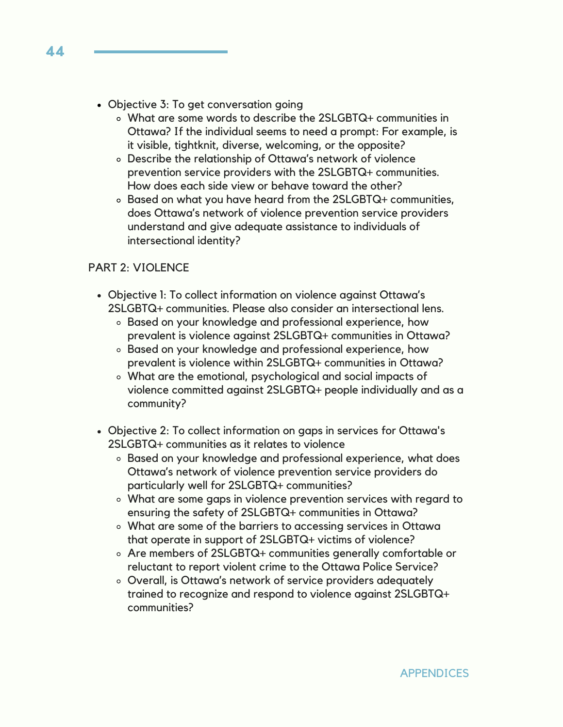- Objective 3: To get conversation going
	- What are some words to describe the 2SLGBTQ+ communities in Ottawa? If the individual seems to need a prompt: For example, is it visible, tightknit, diverse, welcoming, or the opposite?
	- Describe the relationship of Ottawa's network of violence prevention service providers with the 2SLGBTQ+ communities. How does each side view or behave toward the other?
	- Based on what you have heard from the 2SLGBTQ+ communities, does Ottawa's network of violence prevention service providers understand and give adequate assistance to individuals of intersectional identity?

#### PART 2: VIOLENCE

- Objective 1: To collect information on violence against Ottawa's 2SLGBTQ+ communities. Please also consider an intersectional lens.
	- Based on your knowledge and professional experience, how prevalent is violence against 2SLGBTQ+ communities in Ottawa?
	- Based on your knowledge and professional experience, how prevalent is violence within 2SLGBTQ+ communities in Ottawa?
	- What are the emotional, psychological and social impacts of violence committed against 2SLGBTQ+ people individually and as a community?
- Objective 2: To collect information on gaps in services for Ottawa's 2SLGBTQ+ communities as it relates to violence
	- Based on your knowledge and professional experience, what does Ottawa's network of violence prevention service providers do particularly well for 2SLGBTQ+ communities?
	- What are some gaps in violence prevention services with regard to ensuring the safety of 2SLGBTQ+ communities in Ottawa?
	- What are some of the barriers to accessing services in Ottawa that operate in support of 2SLGBTQ+ victims of violence?
	- Are members of 2SLGBTQ+ communities generally comfortable or reluctant to report violent crime to the Ottawa Police Service?
	- Overall, is Ottawa's network of service providers adequately trained to recognize and respond to violence against 2SLGBTQ+ communities?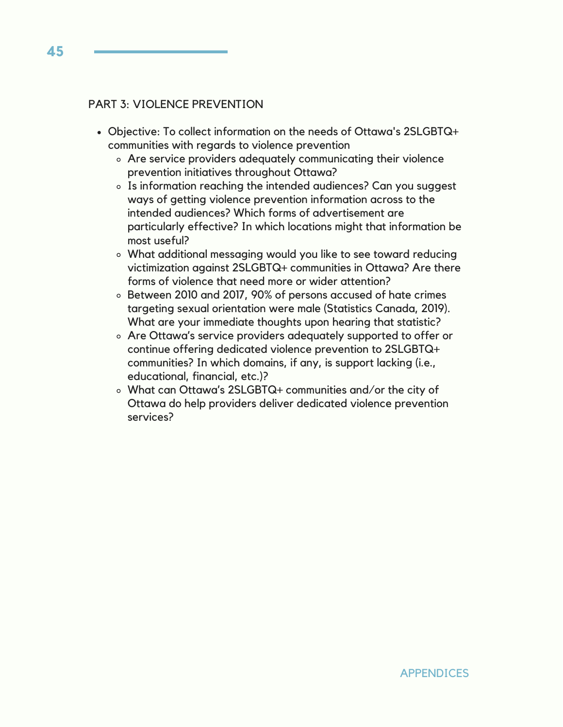#### PART 3: VIOLENCE PREVENTION

- Objective: To collect information on the needs of Ottawa's 2SLGBTQ+ communities with regards to violence prevention
	- Are service providers adequately communicating their violence prevention initiatives throughout Ottawa?
	- Is information reaching the intended audiences? Can you suggest ways of getting violence prevention information across to the intended audiences? Which forms of advertisement are particularly effective? In which locations might that information be most useful?
	- What additional messaging would you like to see toward reducing victimization against 2SLGBTQ+ communities in Ottawa? Are there forms of violence that need more or wider attention?
	- Between 2010 and 2017, 90% of persons accused of hate crimes targeting sexual orientation were male (Statistics Canada, 2019). What are your immediate thoughts upon hearing that statistic?
	- Are Ottawa's service providers adequately supported to offer or continue offering dedicated violence prevention to 2SLGBTQ+ communities? In which domains, if any, is support lacking (i.e., educational, financial, etc.)?
	- What can Ottawa's 2SLGBTQ+ communities and/or the city of Ottawa do help providers deliver dedicated violence prevention services?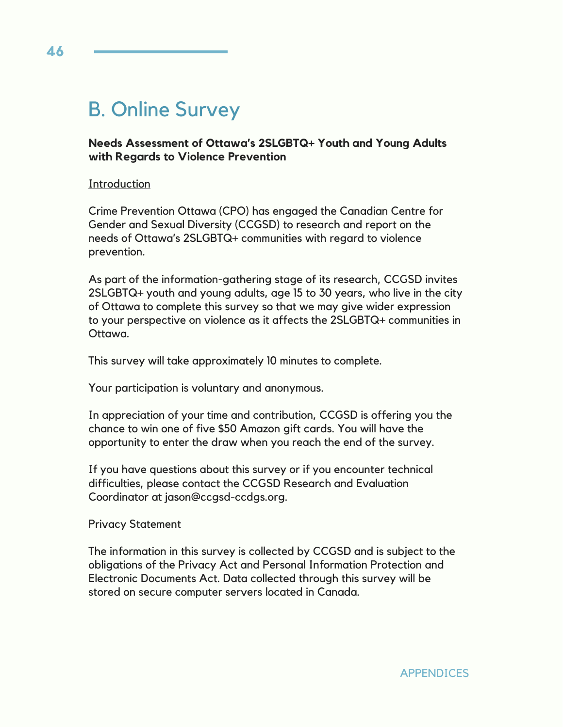# B. Online Survey

#### **Needs Assessment of Ottawa's 2SLGBTQ+ Youth and Young Adults with Regards to Violence Prevention**

#### **Introduction**

Crime Prevention Ottawa (CPO) has engaged the Canadian Centre for Gender and Sexual Diversity (CCGSD) to research and report on the needs of Ottawa's 2SLGBTQ+ communities with regard to violence prevention.

As part of the information-gathering stage of its research, CCGSD invites 2SLGBTQ+ youth and young adults, age 15 to 30 years, who live in the city of Ottawa to complete this survey so that we may give wider expression to your perspective on violence as it affects the 2SLGBTQ+ communities in Ottawa.

This survey will take approximately 10 minutes to complete.

Your participation is voluntary and anonymous.

In appreciation of your time and contribution, CCGSD is offering you the chance to win one of five \$50 Amazon gift cards. You will have the opportunity to enter the draw when you reach the end of the survey.

If you have questions about this survey or if you encounter technical difficulties, please contact the CCGSD Research and Evaluation Coordinator at jason@ccgsd-ccdgs.org.

#### Privacy Statement

The information in this survey is collected by CCGSD and is subject to the obligations of the Privacy Act and Personal Information Protection and Electronic Documents Act. Data collected through this survey will be stored on secure computer servers located in Canada.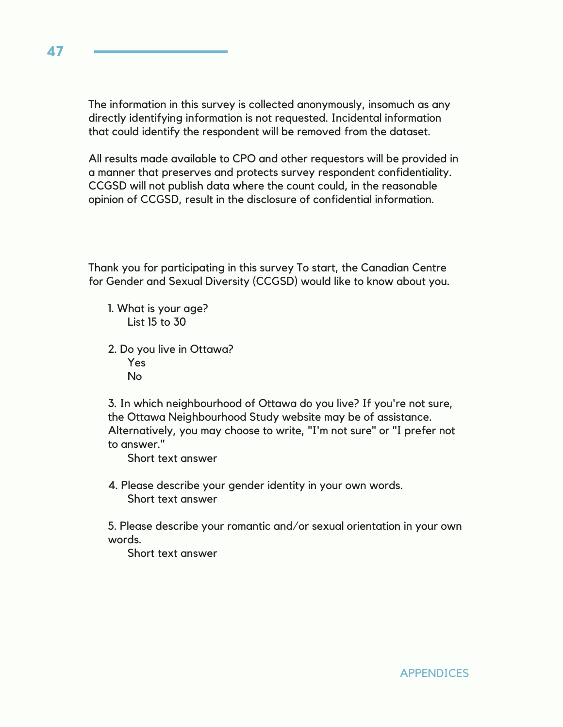The information in this survey is collected anonymously, insomuch as any directly identifying information is not requested. Incidental information that could identify the respondent will be removed from the dataset.

All results made available to CPO and other requestors will be provided in a manner that preserves and protects survey respondent confidentiality. CCGSD will not publish data where the count could, in the reasonable opinion of CCGSD, result in the disclosure of confidential information.

Thank you for participating in this survey To start, the Canadian Centre for Gender and Sexual Diversity (CCGSD) would like to know about you.

- 1. What is your age? List 15 to 30
- 2. Do you live in Ottawa? Yes No

3. In which neighbourhood of Ottawa do you live? If you're not sure, the Ottawa Neighbourhood Study website may be of assistance. Alternatively, you may choose to write, "I'm not sure" or "I prefer not to answer."

Short text answer

4. Please describe your gender identity in your own words. Short text answer

5. Please describe your romantic and/or sexual orientation in your own words.

Short text answer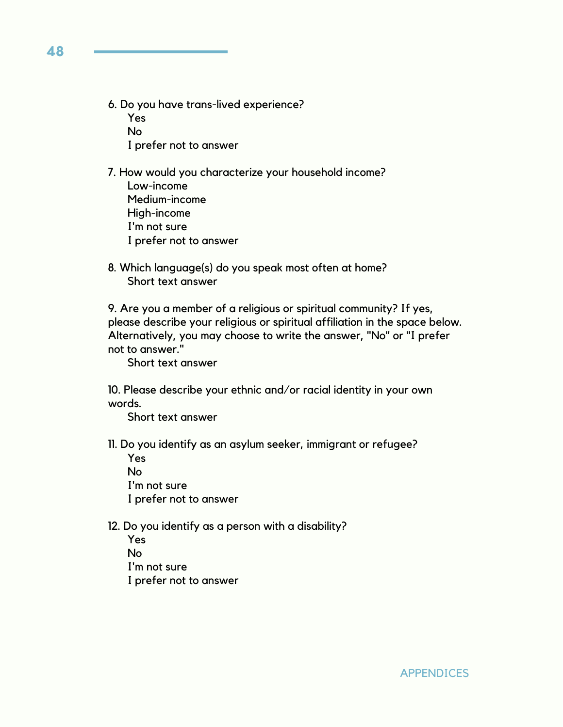6. Do you have trans-lived experience?

Yes No I prefer not to answer

- 7. How would you characterize your household income?
	- Low-income Medium-income High-income I'm not sure I prefer not to answer
- 8. Which language(s) do you speak most often at home? Short text answer

9. Are you a member of a religious or spiritual community? If yes, please describe your religious or spiritual affiliation in the space below. Alternatively, you may choose to write the answer, "No" or "I prefer not to answer."

Short text answer

10. Please describe your ethnic and/or racial identity in your own words.

Short text answer

11. Do you identify as an asylum seeker, immigrant or refugee?

- Yes No I'm not sure I prefer not to answer
- 12. Do you identify as a person with a disability? Yes No I'm not sure

I prefer not to answer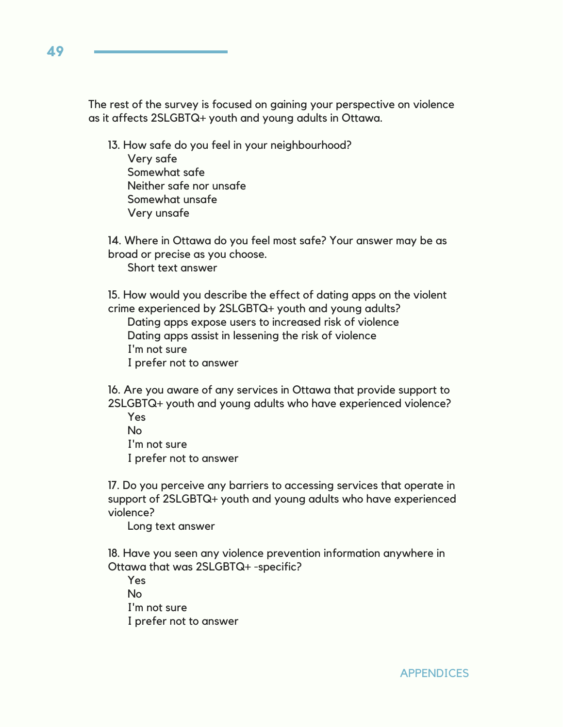The rest of the survey is focused on gaining your perspective on violence as it affects 2SLGBTQ+ youth and young adults in Ottawa.

13. How safe do you feel in your neighbourhood? Very safe Somewhat safe Neither safe nor unsafe Somewhat unsafe Very unsafe

14. Where in Ottawa do you feel most safe? Your answer may be as broad or precise as you choose. Short text answer

15. How would you describe the effect of dating apps on the violent crime experienced by 2SLGBTQ+ youth and young adults?

Dating apps expose users to increased risk of violence Dating apps assist in lessening the risk of violence I'm not sure I prefer not to answer

16. Are you aware of any services in Ottawa that provide support to 2SLGBTQ+ youth and young adults who have experienced violence?

Yes No I'm not sure I prefer not to answer

17. Do you perceive any barriers to accessing services that operate in support of 2SLGBTQ+ youth and young adults who have experienced violence?

Long text answer

18. Have you seen any violence prevention information anywhere in Ottawa that was 2SLGBTQ+ -specific?

Yes  $N<sub>0</sub>$ I'm not sure I prefer not to answer

**49**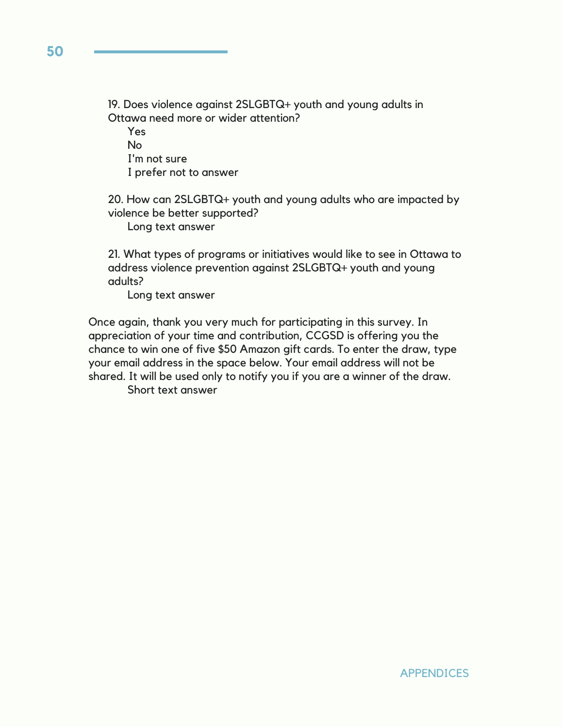19. Does violence against 2SLGBTQ+ youth and young adults in Ottawa need more or wider attention?

Yes No I'm not sure I prefer not to answer

20. How can 2SLGBTQ+ youth and young adults who are impacted by violence be better supported?

Long text answer

21. What types of programs or initiatives would like to see in Ottawa to address violence prevention against 2SLGBTQ+ youth and young adults?

Long text answer

Once again, thank you very much for participating in this survey. In appreciation of your time and contribution, CCGSD is offering you the chance to win one of five \$50 Amazon gift cards. To enter the draw, type your email address in the space below. Your email address will not be shared. It will be used only to notify you if you are a winner of the draw. Short text answer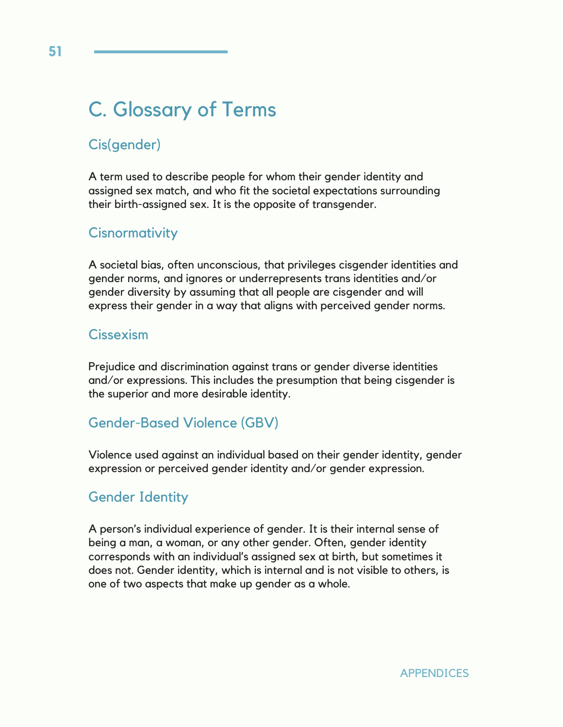# C. Glossary of Terms

## Cis(gender)

A term used to describe people for whom their gender identity and assigned sex match, and who fit the societal expectations surrounding their birth-assigned sex. It is the opposite of transgender.

### **Cisnormativity**

A societal bias, often unconscious, that privileges cisgender identities and gender norms, and ignores or underrepresents trans identities and/or gender diversity by assuming that all people are cisgender and will express their gender in a way that aligns with perceived gender norms.

#### Cissexism

Prejudice and discrimination against trans or gender diverse identities and/or expressions. This includes the presumption that being cisgender is the superior and more desirable identity.

## Gender-Based Violence (GBV)

Violence used against an individual based on their gender identity, gender expression or perceived gender identity and/or gender expression.

### Gender Identity

A person's individual experience of gender. It is their internal sense of being a man, a woman, or any other gender. Often, gender identity corresponds with an individual's assigned sex at birth, but sometimes it does not. Gender identity, which is internal and is not visible to others, is one of two aspects that make up gender as a whole.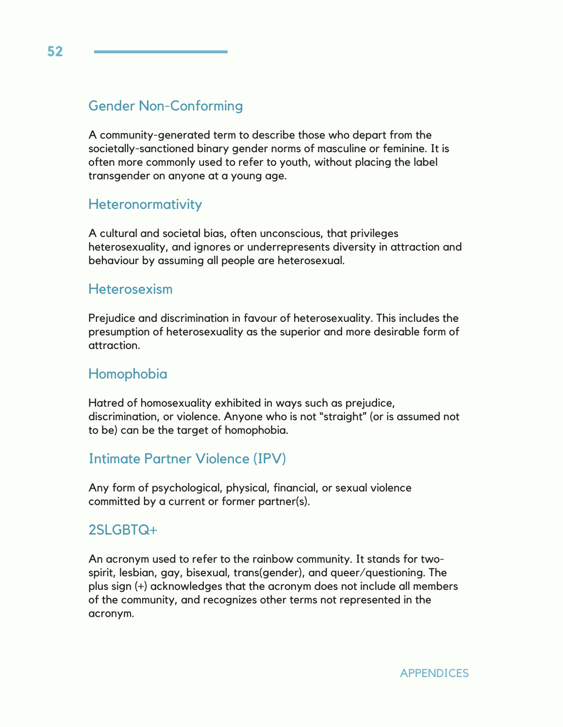### Gender Non-Conforming

A community-generated term to describe those who depart from the societally-sanctioned binary gender norms of masculine or feminine. It is often more commonly used to refer to youth, without placing the label transgender on anyone at a young age.

### **Heteronormativity**

A cultural and societal bias, often unconscious, that privileges heterosexuality, and ignores or underrepresents diversity in attraction and behaviour by assuming all people are heterosexual.

#### **Heterosexism**

Prejudice and discrimination in favour of heterosexuality. This includes the presumption of heterosexuality as the superior and more desirable form of attraction.

#### Homophobia

Hatred of homosexuality exhibited in ways such as prejudice, discrimination, or violence. Anyone who is not "straight" (or is assumed not to be) can be the target of homophobia.

#### Intimate Partner Violence (IPV)

Any form of psychological, physical, financial, or sexual violence committed by a current or former partner(s).

#### 2SLGBTQ+

An acronym used to refer to the rainbow community. It stands for twospirit, lesbian, gay, bisexual, trans(gender), and queer/questioning. The plus sign (+) acknowledges that the acronym does not include all members of the community, and recognizes other terms not represented in the acronym.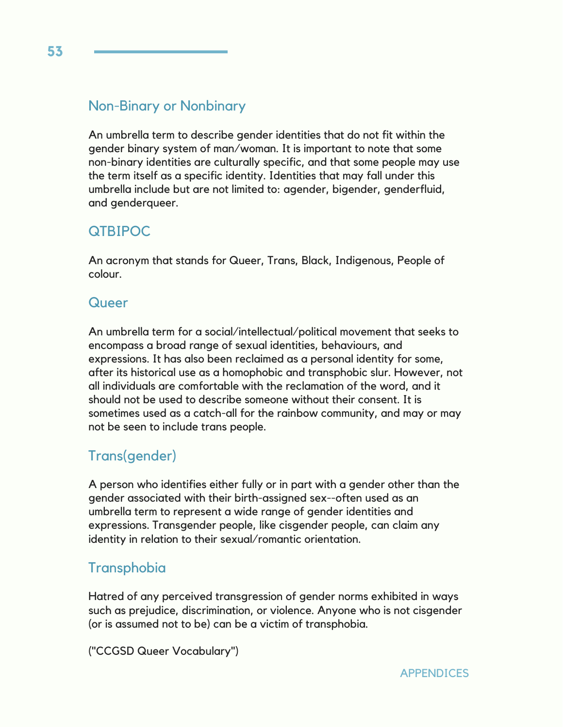### Non-Binary or Nonbinary

An umbrella term to describe gender identities that do not fit within the gender binary system of man/woman. It is important to note that some non-binary identities are culturally specific, and that some people may use the term itself as a specific identity. Identities that may fall under this umbrella include but are not limited to: agender, bigender, genderfluid, and genderqueer.

### QTBIPOC

An acronym that stands for Queer, Trans, Black, Indigenous, People of colour.

### Queer

An umbrella term for a social/intellectual/political movement that seeks to encompass a broad range of sexual identities, behaviours, and expressions. It has also been reclaimed as a personal identity for some, after its historical use as a homophobic and transphobic slur. However, not all individuals are comfortable with the reclamation of the word, and it should not be used to describe someone without their consent. It is sometimes used as a catch-all for the rainbow community, and may or may not be seen to include trans people.

## Trans(gender)

A person who identifies either fully or in part with a gender other than the gender associated with their birth-assigned sex--often used as an umbrella term to represent a wide range of gender identities and expressions. Transgender people, like cisgender people, can claim any identity in relation to their sexual/romantic orientation.

## **Transphobia**

Hatred of any perceived transgression of gender norms exhibited in ways such as prejudice, discrimination, or violence. Anyone who is not cisgender (or is assumed not to be) can be a victim of transphobia.

("CCGSD Queer Vocabulary")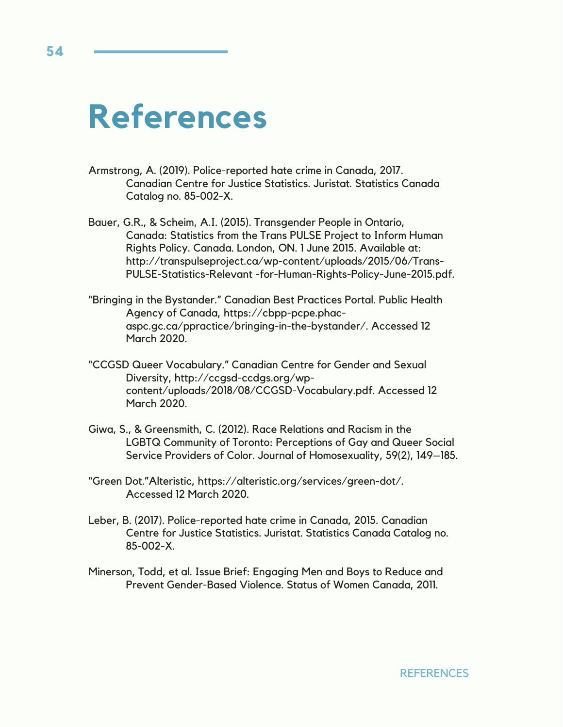# **References**

- Armstrong, A. (2019). Police-reported hate crime in Canada, 2017. Canadian Centre for Justice Statistics. Juristat. Statistics Canada Catalog no. 85-002-X.
- Bauer, G.R., & Scheim, A.I. (2015). Transgender People in Ontario, Canada: Statistics from the Trans PULSE Project to Inform Human Rights Policy. Canada. London, ON. 1 June 2015. Available at: http://transpulseproject.ca/wp-content/uploads/2015/06/Trans-PULSE-Statistics-Relevant -for-Human-Rights-Policy-June-2015.pdf.
- "Bringing in the Bystander." Canadian Best Practices Portal. Public Health Agency of Canada, https://cbpp-pcpe.phacaspc.gc.ca/ppractice/bringing-in-the-bystander/. Accessed 12 March 2020.
- "CCGSD Queer Vocabulary." Canadian Centre for Gender and Sexual Diversity, http://ccgsd-ccdgs.org/wpcontent/uploads/2018/08/CCGSD-Vocabulary.pdf. Accessed 12 March 2020.
- Giwa, S., & Greensmith, C. (2012). Race Relations and Racism in the LGBTQ Community of Toronto: Perceptions of Gay and Queer Social Service Providers of Color. Journal of Homosexuality, 59(2), 149–185.
- "Green Dot."Alteristic, https://alteristic.org/services/green-dot/. Accessed 12 March 2020.
- Leber, B. (2017). Police-reported hate crime in Canada, 2015. Canadian Centre for Justice Statistics. Juristat. Statistics Canada Catalog no. 85-002-X.
- Minerson, Todd, et al. Issue Brief: Engaging Men and Boys to Reduce and Prevent Gender-Based Violence. Status of Women Canada, 2011.